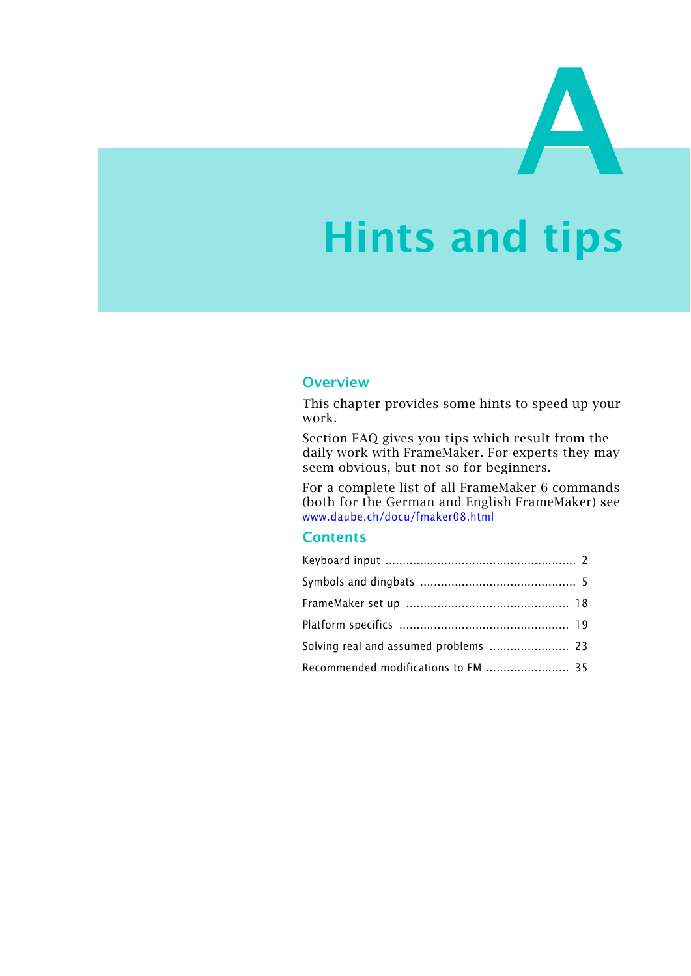# **Hints and tips**

### **Overview**

This chapter provides some hints to speed up your work.

Section FAQ gives you tips which result from the daily work with FrameMaker. For experts they may seem obvious, but not so for beginners.

For a complete list of all FrameMaker 6 commands (both for the German and English FrameMaker) see [www.daube.ch/docu/fmaker08.html](http://www.daube.ch/docu/fmaker08.html)

### **Contents**

| Recommended modifications to FM  35 |  |
|-------------------------------------|--|
|                                     |  |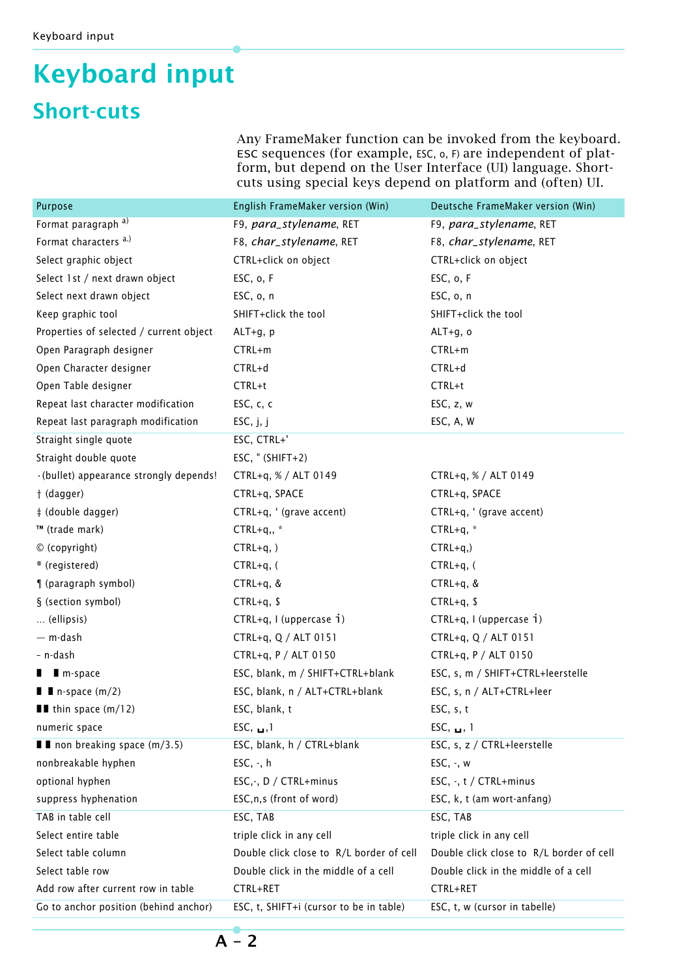# **Keyboard input Short-cuts**

Any FrameMaker function can be invoked from the keyboard. ESC sequences (for example, ESC, o, F) are independent of platform, but depend on the User Interface (UI) language. Shortcuts using special keys depend on platform and (often) UI.

| Purpose                                     | English FrameMaker version (Win)         | Deutsche FrameMaker version (Win)        |  |
|---------------------------------------------|------------------------------------------|------------------------------------------|--|
| Format paragraph <sup>a)</sup>              | F9, para_stylename, RET                  | F9, para_stylename, RET                  |  |
| Format characters <sup>a.)</sup>            | F8, char_stylename, RET                  | F8, char_stylename, RET                  |  |
| Select graphic object                       | CTRL+click on object                     | CTRL+click on object                     |  |
| Select 1st / next drawn object              | ESC, o, F                                | ESC, o, F                                |  |
| Select next drawn object                    | ESC, o, n                                | ESC, o, n                                |  |
| Keep graphic tool                           | SHIFT+click the tool                     | SHIFT+click the tool                     |  |
| Properties of selected / current object     | $ALT+g, p$                               | ALT+g, o                                 |  |
| Open Paragraph designer                     | $CTRL+m$                                 | CTRL+m                                   |  |
| Open Character designer                     | CTRL+d                                   | CTRL+d                                   |  |
| Open Table designer                         | CTRL+t                                   | CTRL+t                                   |  |
| Repeat last character modification          | ESC, c, c                                | ESC, z, w                                |  |
| Repeat last paragraph modification          | ESC, j, j                                | ESC, A, W                                |  |
| Straight single quote                       | ESC, CTRL+'                              |                                          |  |
| Straight double quote                       | ESC, $"$ (SHIFT+2)                       |                                          |  |
| · (bullet) appearance strongly depends!     | CTRL+q, % / ALT 0149                     | CTRL+q, % / ALT 0149                     |  |
| † (dagger)                                  | CTRL+q, SPACE                            | CTRL+q, SPACE                            |  |
| ‡ (double dagger)                           | CTRL+q, ' (grave accent)                 | CTRL+q, ' (grave accent)                 |  |
| ™ (trade mark)                              | $CTRL+q,$ , *                            | CTRL+q, $*$                              |  |
| © (copyright)                               | $CTRL+q,$ )                              | $CTRL+q,$ )                              |  |
| ® (registered)                              | $CTRL+q, ($                              | $CTRL+q, ($                              |  |
| ¶ (paragraph symbol)                        | $CTRL+q$ , &                             | $CTRL+q$ , &                             |  |
| § (section symbol)                          | $CTRL+q$ , \$                            | $CTRL+q$ , \$                            |  |
| (ellipsis)                                  | CTRL+q, I (uppercase i)                  | CTRL+q, I (uppercase i)                  |  |
| — m-dash                                    | CTRL+q, Q / ALT 0151                     | CTRL+q, Q / ALT 0151                     |  |
| - n-dash                                    | CTRL+q, P / ALT 0150                     | CTRL+q, P / ALT 0150                     |  |
| m-space                                     | ESC, blank, m / SHIFT+CTRL+blank         | ESC, s, m / SHIFT+CTRL+leerstelle        |  |
| $\blacksquare$ In-space (m/2)               | ESC, blank, n / ALT+CTRL+blank           | ESC, s, n / ALT+CTRL+leer                |  |
| $\blacksquare$ thin space (m/12)            | ESC, blank, t                            | ESC, s, t                                |  |
| numeric space                               | ESC, $\blacksquare$ , 1                  | ESC, $\blacksquare$ , 1                  |  |
| $\blacksquare$ I non breaking space (m/3.5) | ESC, blank, h / CTRL+blank               | ESC, s, z / CTRL+leerstelle              |  |
| nonbreakable hyphen                         | $ESC, -, h$                              | $ESC, -, w$                              |  |
| optional hyphen                             | ESC,-, D / CTRL+minus                    | ESC, -, t / CTRL+minus                   |  |
| suppress hyphenation                        | ESC, n, s (front of word)                | ESC, k, t (am wort-anfang)               |  |
| TAB in table cell                           | ESC, TAB                                 | ESC, TAB                                 |  |
| Select entire table                         | triple click in any cell                 | triple click in any cell                 |  |
| Select table column                         | Double click close to R/L border of cell | Double click close to R/L border of cell |  |
| Select table row                            | Double click in the middle of a cell     | Double click in the middle of a cell     |  |
| Add row after current row in table          | CTRL+RET                                 | CTRL+RET                                 |  |
| Go to anchor position (behind anchor)       | ESC, t, SHIFT+i (cursor to be in table)  | ESC, t, w (cursor in tabelle)            |  |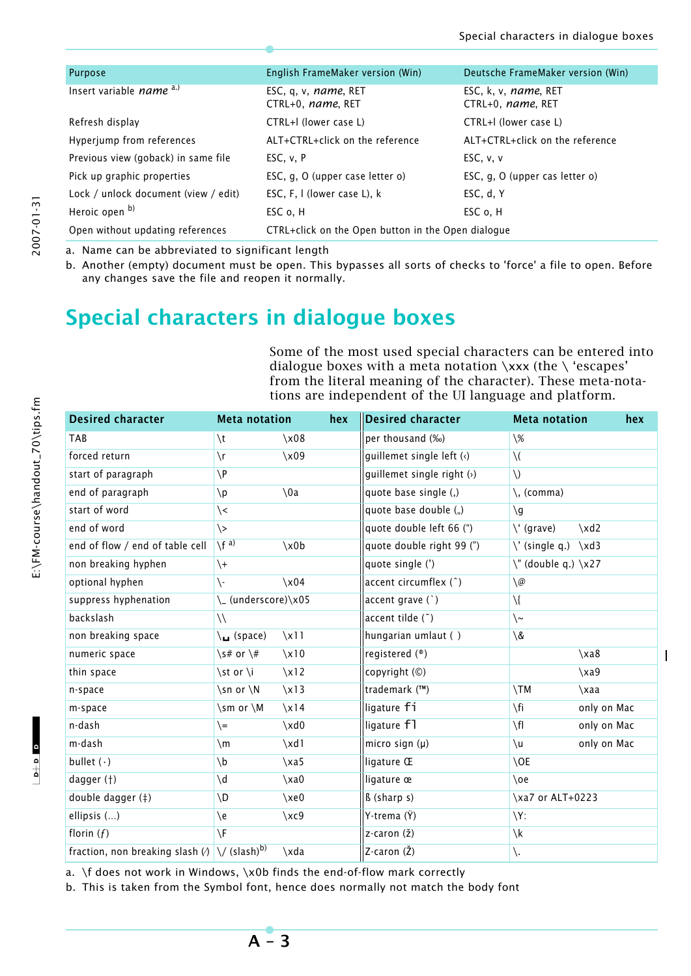| Purpose                              | English FrameMaker version (Win)                   | Deutsche FrameMaker version (Win)                 |  |  |
|--------------------------------------|----------------------------------------------------|---------------------------------------------------|--|--|
| Insert variable <i>name</i> a.)      | ESC, q, v, <i>name</i> , RET<br>CTRL+0, name, RET  | ESC, k, v, <i>name</i> , RET<br>CTRL+0, name, RET |  |  |
| Refresh display                      | CTRL+I (lower case L)                              | CTRL+I (lower case L)                             |  |  |
| Hyperjump from references            | ALT+CTRL+click on the reference                    | ALT+CTRL+click on the reference                   |  |  |
| Previous view (goback) in same file  | ESC, v, P                                          | ESC, v, v                                         |  |  |
| Pick up graphic properties           | ESC, g, O (upper case letter o)                    | ESC, g, O (upper cas letter o)                    |  |  |
| Lock / unlock document (view / edit) | ESC, F, I (lower case L), k                        | ESC, d, Y                                         |  |  |
| Heroic open b)                       | ESC o, H                                           | ESC o, H                                          |  |  |
| Open without updating references     | CTRL+click on the Open button in the Open dialogue |                                                   |  |  |

a. Name can be abbreviated to significant length

b. Another (empty) document must be open. This bypasses all sorts of checks to 'force' a file to open. Before any changes save the file and reopen it normally.

# **Special characters in dialogue boxes**

Some of the most used special characters can be entered into dialogue boxes with a meta notation  $\xxx$  (the  $\$ 'escapes' from the literal meaning of the character). These meta-notations are independent of the UI language and platform.

| <b>Desired character</b>                                                              | <b>Meta notation</b>         |                | hex | <b>Desired character</b>         | <b>Meta notation</b>          | hex         |
|---------------------------------------------------------------------------------------|------------------------------|----------------|-----|----------------------------------|-------------------------------|-------------|
| <b>TAB</b>                                                                            | $\setminus t$                | x08            |     | per thousand (%)                 | $\sqrt{\frac{2}{}}$           |             |
| forced return                                                                         | $\setminus r$                | $\x09$         |     | guillemet single left (<)        | $\setminus$                   |             |
| start of paragraph                                                                    | $\P$                         |                |     | guillemet single right $(\cdot)$ | $\setminus$                   |             |
| end of paragraph                                                                      | $\mathsf{p}$                 | $\setminus$ 0a |     | quote base single (,)            | $\setminus$ , (comma)         |             |
| start of word                                                                         | $\left\langle \right\rangle$ |                |     | quote base double (")            | $\mathcal{g}/\mathcal{g}$     |             |
| end of word                                                                           | $\left\langle \right\rangle$ |                |     | quote double left 66 (")         | $\setminus$ (grave)           | $\xdd$      |
| end of flow / end of table cell                                                       | $\sqrt{f}^{a)}$              | $\x0$          |     | quote double right 99 (")        | $\setminus$ ' (single q.)     | $\xddot{3}$ |
| non breaking hyphen                                                                   | $\setminus +$                |                |     | quote single (')                 | $\Upsilon$ (double q.) $\X27$ |             |
| optional hyphen                                                                       | $\backslash$ -               | x04            |     | accent circumflex (^)            | $\setminus \varnothing$       |             |
| suppress hyphenation                                                                  | \_ (underscore)\x05          |                |     | accent grave (`)                 | $\setminus$                   |             |
| backslash                                                                             | $\setminus$                  |                |     | accent tilde (")                 | $\backslash \sim$             |             |
| non breaking space                                                                    | $\mathcal{L}$ (space)        | x11            |     | hungarian umlaut ()              | $\setminus \&$                |             |
| numeric space                                                                         | \s# or \#                    | x10            |     | registered $(\mathscr{D})$       |                               | $\x\$ {xa8} |
| thin space                                                                            | \st or \i                    | x12            |     | copyright (©)                    |                               | $\x49$      |
| n-space                                                                               | \sn or \N                    | x13            |     | trademark (™)                    | $\setminus TM$                | $\x\$ {xaa} |
| m-space                                                                               | \sm or \M                    | $\x14$         |     | ligature fi                      | \fi                           | only on Mac |
| n-dash                                                                                | $=$                          | $\xd0$         |     | ligature f1                      | $\sqrt{f}$                    | only on Mac |
| m-dash                                                                                | $\mathsf{m}$                 | $\xdd{1}$      |     | micro sign $(\mu)$               | $\mathcal{U}$                 | only on Mac |
| bullet $(\cdot)$                                                                      | $\mathbf{b}$                 | $\xa5$         |     | ligature Œ                       | $\setminus$ OE                |             |
| dagger (†)                                                                            | $\mathsf{d}'$                | $\x0$          |     | ligature œ                       | $\setminus$ oe                |             |
| double dagger (#)                                                                     | \D                           | xe0            |     | ß (sharp s)                      | \xa7 or ALT+0223              |             |
| ellipsis ()                                                                           | \e                           | $\chi c9$      |     | Y-trema (Ÿ)                      | $Y$ :                         |             |
| florin $(f)$                                                                          | $\sqrt{F}$                   |                |     | $z$ -caron $(\check{z})$         | $\chi$                        |             |
| fraction, non breaking slash $\langle \rangle \,  \setminus \,$ (slash) <sup>b)</sup> |                              | $\lambda$ da   |     | Z-caron (Ž)                      | \.                            |             |

a. \f does not work in Windows, \x0b finds the end-of-flow mark correctly

b. This is taken from the Symbol font, hence does normally not match the body font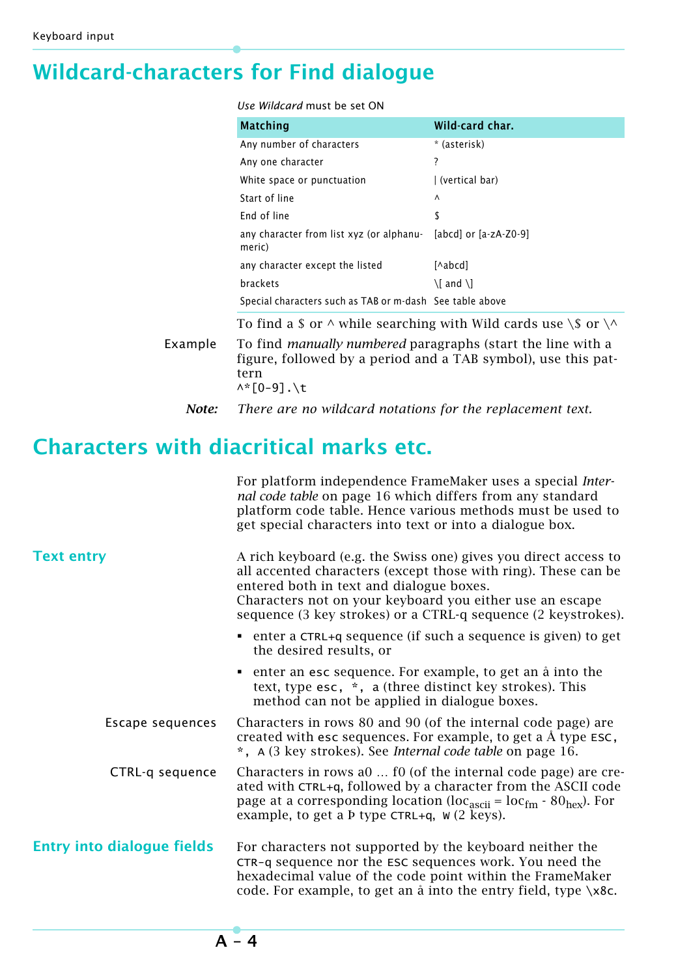# **Wildcard-characters for Find dialogue**

### *Use Wildcard* must be set ON

| <b>Matching</b>                                                         | Wild-card char.             |
|-------------------------------------------------------------------------|-----------------------------|
| Any number of characters                                                | * (asterisk)                |
| Any one character                                                       | ?                           |
| White space or punctuation                                              | (vertical bar)              |
| Start of line                                                           | $\wedge$                    |
| <b>Fnd of line</b>                                                      | \$                          |
| any character from list xyz (or alphanu [abcd] or [a-zA-Z0-9]<br>meric) |                             |
| any character except the listed                                         | [^abcd]                     |
| brackets                                                                | $\setminus$ and $\setminus$ |
| Special characters such as TAB or m-dash See table above                |                             |

To find a \$ or  $\wedge$  while searching with Wild cards use  $\S$  or  $\wedge$ 

Example To find *manually numbered* paragraphs (start the line with a figure, followed by a period and a TAB symbol), use this pattern  $\wedge$ \* $[0-9]$ . \t

# **Characters with diacritical marks etc.**

|                                   | For platform independence FrameMaker uses a special Inter-<br>nal code table on page 16 which differs from any standard<br>platform code table. Hence various methods must be used to<br>get special characters into text or into a dialogue box.                                                                  |
|-----------------------------------|--------------------------------------------------------------------------------------------------------------------------------------------------------------------------------------------------------------------------------------------------------------------------------------------------------------------|
| <b>Text entry</b>                 | A rich keyboard (e.g. the Swiss one) gives you direct access to<br>all accented characters (except those with ring). These can be<br>entered both in text and dialogue boxes.<br>Characters not on your keyboard you either use an escape<br>sequence (3 key strokes) or a CTRL-q sequence (2 keystrokes).         |
|                                   | • enter a CTRL+q sequence (if such a sequence is given) to get<br>the desired results, or                                                                                                                                                                                                                          |
|                                   | • enter an esc sequence. For example, to get an a into the<br>text, type esc, *, a (three distinct key strokes). This<br>method can not be applied in dialogue boxes.                                                                                                                                              |
| Escape sequences                  | Characters in rows 80 and 90 (of the internal code page) are<br>created with esc sequences. For example, to get a $\AA$ type ESC,<br>*, A (3 key strokes). See Internal code table on page 16.                                                                                                                     |
| CTRL-q sequence                   | Characters in rows a0  f0 (of the internal code page) are cre-<br>ated with CTRL+q, followed by a character from the ASCII code<br>page at a corresponding location (loc <sub>ascii</sub> = loc <sub>fm</sub> - 80 <sub>hex</sub> ). For<br>example, to get a $\overline{P}$ type CTRL+q, $\overline{W}$ (2 keys). |
| <b>Entry into dialogue fields</b> | For characters not supported by the keyboard neither the<br>CTR-q sequence nor the ESC sequences work. You need the<br>hexadecimal value of the code point within the FrameMaker<br>code. For example, to get an å into the entry field, type \x8c.                                                                |

*Note: There are no wildcard notations for the replacement text.*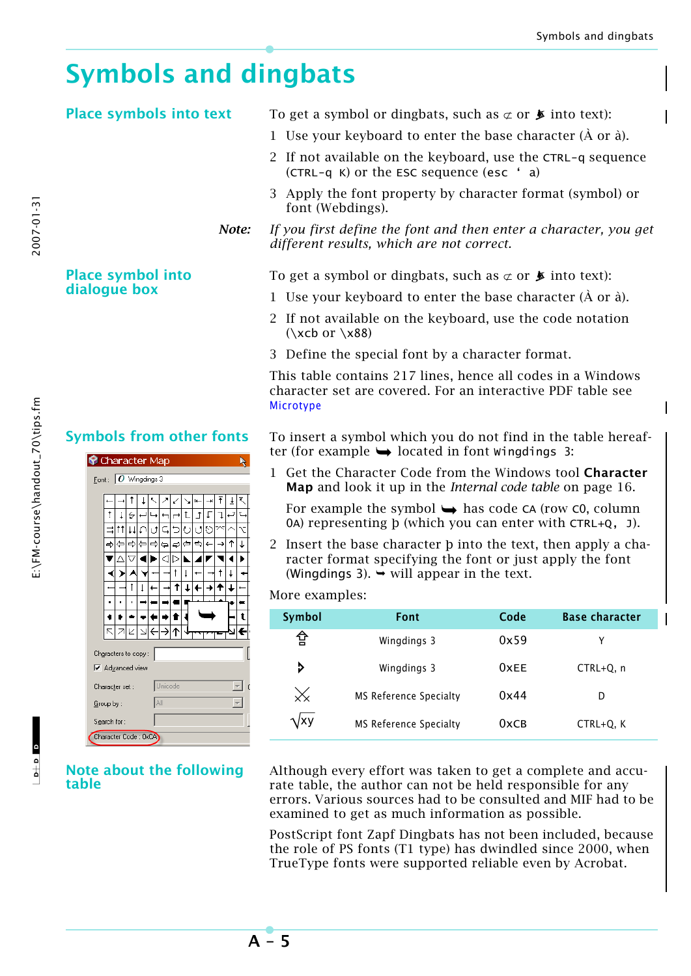# **Symbols and dingbats**

# **Place symbols into text** To get a symbol or dingbats, such as  $\subset \sigma$  **F** into text):

- 1 Use your keyboard to enter the base character  $(\hat{A})$  or  $\hat{a}$ ).
- 2 If not available on the keyboard, use the CTRL-q sequence (CTRL-q K) or the ESC sequence (esc ' a)
- 3 Apply the font property by character format (symbol) or font (Webdings).
- *Note: If you first define the font and then enter a character, you get different results, which are not correct.*

To get a symbol or dingbats, such as  $\sigma$  or  $\blacktriangleright$  into text):

- 1 Use your keyboard to enter the base character  $(\hat{A})$  or  $\hat{a}$ ).
- 2 If not available on the keyboard, use the code notation  $(\xcb \text{ or } x88)$
- 3 Define the special font by a character format.

[This table contains 217 lines, hence all codes in a Windows](http://www.microtype.com/resources/MT_Charset.zip)  character set are covered. For an interactive PDF table see [M](http://www.microtype.com/resources/MT_Charset.zip)icrotype

**Symbols from other fonts** To insert a symbol which you do not find in the table hereafter (for example  $\rightarrow$  located in font Wingdings 3:

> 1 Get the Character Code from the Windows tool **Character Map** and look it up in the *Internal code table* on page 16.

For example the symbol  $\rightarrow$  has code CA (row CO, column 0A) representing þ (which you can enter with CTRL+Q, J).

2 Insert the base character þ into the text, then apply a character format specifying the font or just apply the font (Wingdings 3).  $\rightarrow$  will appear in the text.

### More examples:

| Symbol       | Font                   | Code | <b>Base character</b> |  |
|--------------|------------------------|------|-----------------------|--|
| 슙            | Wingdings 3            | 0x59 | Υ                     |  |
| ⋗            | Wingdings 3            | 0xFE | CTRL+Q, n             |  |
|              | MS Reference Specialty | 0x44 | D                     |  |
| <b>\</b> /XV | MS Reference Specialty | 0xCB | $CTRL+Q, K$           |  |

Although every effort was taken to get a complete and accurate table, the author can not be held responsible for any errors. Various sources had to be consulted and MIF had to be examined to get as much information as possible.

PostScript font Zapf Dingbats has not been included, because the role of PS fonts (T1 type) has dwindled since 2000, when TrueType fonts were supported reliable even by Acrobat.

# **Place symbol into dialogue box**

| Character Map                         |                                |    |    |   |    |   |   |    |   |    |   |   |   |  |
|---------------------------------------|--------------------------------|----|----|---|----|---|---|----|---|----|---|---|---|--|
| Font: $\boxed{O \text{ Wingdings 3}}$ |                                |    |    |   |    |   |   |    |   |    |   |   |   |  |
|                                       |                                |    |    |   |    |   |   |    |   |    |   |   |   |  |
|                                       |                                |    | T  |   |    |   | ĸ |    |   |    | Ŧ | ₹ |   |  |
|                                       | ŧ                              | i  | ↩  |   |    |   |   | t. | 1 | Γ  |   |   |   |  |
|                                       |                                | tt | ΤŤ | U | ιŤ |   |   | Ō  |   | ାର |   |   |   |  |
|                                       |                                |    | ⇨  | ⇦ | ⇨  | ۵ | 4 | ¢  | e | €  |   | ↑ | J |  |
|                                       |                                |    |    |   |    | ⊲ | ▷ |    |   |    |   |   |   |  |
|                                       |                                |    |    |   |    |   | t | I  |   |    | t | ↓ |   |  |
|                                       |                                |    | Î  |   |    |   | t |    |   |    |   |   |   |  |
|                                       |                                |    | ï  |   |    |   |   |    |   |    |   |   |   |  |
|                                       |                                |    |    |   |    |   |   |    |   |    |   |   |   |  |
|                                       |                                |    |    |   |    |   |   |    |   |    |   |   |   |  |
|                                       |                                |    |    |   |    |   |   |    |   |    |   |   |   |  |
|                                       | Characters to copy:            |    |    |   |    |   |   |    |   |    |   |   |   |  |
|                                       | <b>▽</b> Advanced view         |    |    |   |    |   |   |    |   |    |   |   |   |  |
|                                       | Unicode<br>Ġ<br>Character set: |    |    |   |    |   |   |    |   |    |   |   |   |  |
|                                       | AII<br>Group by:               |    |    |   |    |   |   |    |   |    |   |   |   |  |
|                                       | Search for:                    |    |    |   |    |   |   |    |   |    |   |   |   |  |
|                                       | Character Code: 0xCA)          |    |    |   |    |   |   |    |   |    |   |   |   |  |

**Note about the following table**

 $\frac{1}{2}$  o  $\frac{1}{2}$ 

E:\FM-course\handout\_70\tips.fm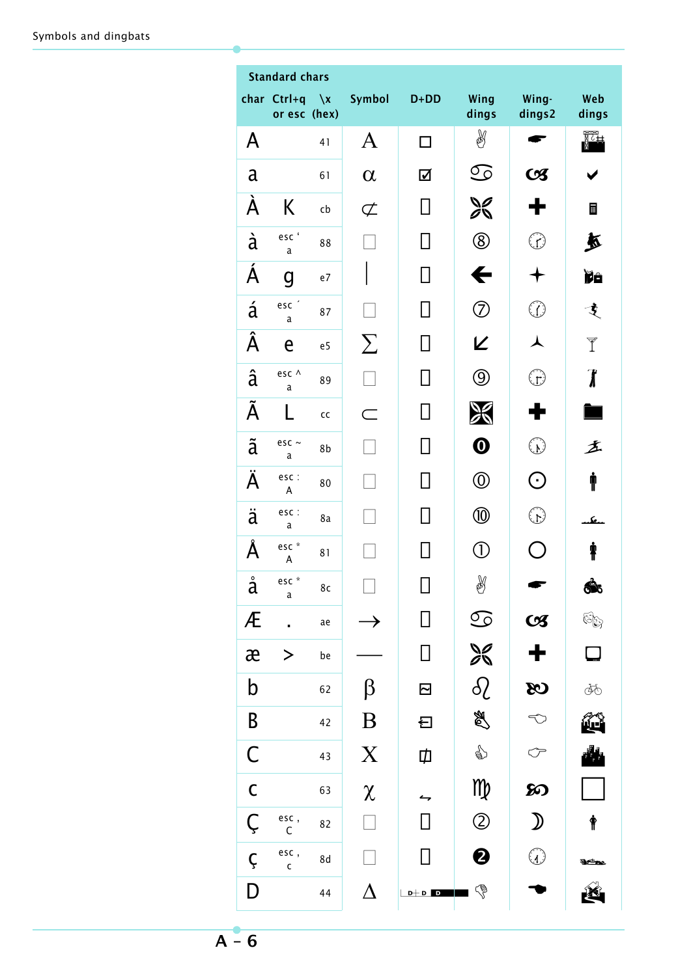|                      | <b>Standard chars</b>       |        |                  |           |                           |                                                                                                                                                                                                                                                                                                                                               |                             |
|----------------------|-----------------------------|--------|------------------|-----------|---------------------------|-----------------------------------------------------------------------------------------------------------------------------------------------------------------------------------------------------------------------------------------------------------------------------------------------------------------------------------------------|-----------------------------|
|                      | char Ctrl+q<br>or esc (hex) | $\chi$ | Symbol           | $D+DD$    | Wing<br>dings             | Wing-<br>dings2                                                                                                                                                                                                                                                                                                                               | Web<br>dings                |
| A                    |                             | 41     | $\bm{A}$         | П         | H                         |                                                                                                                                                                                                                                                                                                                                               | 歰                           |
| a                    |                             | 61     | $\alpha$         | ☑         | S                         | $\boldsymbol{\alpha}$                                                                                                                                                                                                                                                                                                                         |                             |
| Á                    | K                           | cb     | $\sigma$         |           | $\frac{1}{26}$            |                                                                                                                                                                                                                                                                                                                                               | ■                           |
| à                    | esc'<br>a                   | 88     |                  |           | $^\circledR$              | $\mathcal{L}$                                                                                                                                                                                                                                                                                                                                 | 五                           |
| Á                    | g                           | e7     |                  |           | ←                         |                                                                                                                                                                                                                                                                                                                                               | Ïê                          |
| á                    | esc $\degree$<br>a          | 87     |                  |           | $\oslash$                 | $\Omega$                                                                                                                                                                                                                                                                                                                                      | 支                           |
| $\overline{\hat{A}}$ | e                           | e5     | $\sum$           |           | K                         | ⋏                                                                                                                                                                                                                                                                                                                                             | Y                           |
| â                    | esc ^<br>a                  | 89     |                  |           | $\circledS$               | $\mathbb{C}$                                                                                                                                                                                                                                                                                                                                  | $\overline{\boldsymbol{l}}$ |
| Ã                    |                             | cc     |                  |           | Ж                         |                                                                                                                                                                                                                                                                                                                                               |                             |
| ã                    | esc $\sim$<br>a             | 8b     |                  |           | $\boldsymbol{\omega}$     | $\mathbb{C}^2$                                                                                                                                                                                                                                                                                                                                | 盂                           |
| Ä                    | esc :<br>A                  | 80     |                  |           | $^\text{\textregistered}$ | $\odot$                                                                                                                                                                                                                                                                                                                                       | Ť                           |
| $\ddot{a}$           | esc :<br>a                  | 8a     |                  |           | $^\text{\textregistered}$ | $\binom{1}{k}$                                                                                                                                                                                                                                                                                                                                | s.,                         |
| Å                    | esc *<br>A                  | 81     |                  |           | $\left( 1\right)$         |                                                                                                                                                                                                                                                                                                                                               | ŧ                           |
| $\circ$<br>a         | esc $*$<br>a                | 8c     | ┍                | П         | Y                         |                                                                                                                                                                                                                                                                                                                                               | â                           |
| Æ                    |                             | ae     |                  |           | $\odot$                   | $C\mathcal{Z}$                                                                                                                                                                                                                                                                                                                                | Gg                          |
| æ                    | $\bf >$                     | be     |                  |           | X                         | ╋                                                                                                                                                                                                                                                                                                                                             | $\Box$                      |
| b                    |                             | 62     | β                | $\boxdot$ | $\delta$                  | $\infty$                                                                                                                                                                                                                                                                                                                                      | ÀФ                          |
| B                    |                             | 42     | $\boldsymbol{B}$ | 曰         | A                         | $\bigcirc$                                                                                                                                                                                                                                                                                                                                    | î,                          |
| $\mathsf C$          |                             | 43     | $\boldsymbol{X}$ | Ф         | ☝                         | ←                                                                                                                                                                                                                                                                                                                                             |                             |
| $\mathsf C$          |                             | 63     | $\chi$           |           | M                         | ဢ                                                                                                                                                                                                                                                                                                                                             |                             |
| Ç                    | esc,<br>C                   | 82     |                  |           | $\circled{2}$             | $\mathcal{D}% _{M_{1},M_{2}}^{\alpha,\beta}(\varepsilon)$                                                                                                                                                                                                                                                                                     | $\mathring{\mathbb{F}}$     |
| Ç                    | esc,<br>$\mathsf{c}$        | 8d     |                  |           | $\boldsymbol{\Theta}$     | $\begin{picture}(42,10) \put(0,0){\line(1,0){155}} \put(15,0){\line(1,0){155}} \put(15,0){\line(1,0){155}} \put(15,0){\line(1,0){155}} \put(15,0){\line(1,0){155}} \put(15,0){\line(1,0){155}} \put(15,0){\line(1,0){155}} \put(15,0){\line(1,0){155}} \put(15,0){\line(1,0){155}} \put(15,0){\line(1,0){155}} \put(15,0){\line(1,0){155}} \$ | శాబ                         |
| D                    |                             | 44     | $\Delta$         | $D+D$ D   | G                         |                                                                                                                                                                                                                                                                                                                                               |                             |

 $A - 6$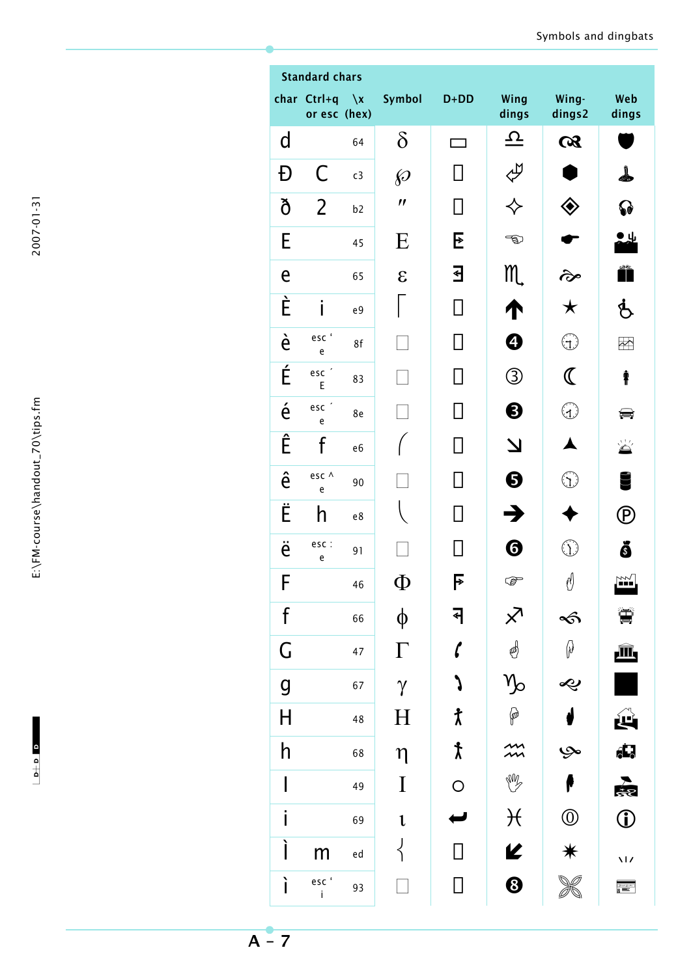| C<br>n. |
|---------|
|         |
| נ<br>٢  |
| г       |
|         |
|         |
|         |

 $-1$ 

|                         | <b>Standard chars</b>                                 |                          |                       |                    |                       |                                   |                          |
|-------------------------|-------------------------------------------------------|--------------------------|-----------------------|--------------------|-----------------------|-----------------------------------|--------------------------|
|                         | har Ctrl+q<br>or esc (hex)                            | $\lambda$                | Symbol                | $D+DD$             | Wing<br>dings         | Wing-<br>dings2                   | Web<br>dings             |
| d                       |                                                       | 64                       | $\delta$              |                    | $\boldsymbol{\Omega}$ | $\alpha$                          |                          |
| Đ                       | C                                                     | c3                       | $\wp$                 |                    | P                     |                                   |                          |
| ð                       | 2                                                     | b2                       | $\boldsymbol{\prime}$ |                    |                       | ◈                                 | 79                       |
| E                       |                                                       | 45                       | E                     | E                  | තු                    |                                   | ΙЦ                       |
| e                       |                                                       | 65                       | $\epsilon$            | €                  | m.                    | જે                                |                          |
| È                       | i                                                     | e9                       |                       |                    | Т                     | $\bigstar$                        | Ġ                        |
| è                       | esc'<br>$\mathsf{e}% _{t}\left( t\right)$             | 8f                       |                       |                    | ❹                     | $\left(\tau\right)$               | $\overline{\mathbb{C}}$  |
| É                       | esc'<br>E                                             | 83                       |                       |                    | ③                     | $\mathbb C$                       | ŧ                        |
| $\acute{\text e}$       | esc <sup>'</sup><br>$\mathsf{e}% _{t}\left( t\right)$ | 8e                       |                       |                    | ❸                     | $\begin{pmatrix} 1 \end{pmatrix}$ | پ                        |
| Ê                       | f                                                     | e <sub>6</sub>           |                       |                    | $\boldsymbol{\Delta}$ |                                   | X                        |
| ê                       | esc ^<br>$\mathsf{e}% _{t}\left( t\right)$            | 90                       |                       |                    | ❺                     | ؚ                                 |                          |
| Ë                       | h                                                     | $\mathsf{e}\,\mathsf{8}$ |                       |                    | $\mathbf{z}$          |                                   | $\mathbf P$              |
| ë                       | esc :<br>$\mathsf{e}% _{t}\left( t\right)$            | 91                       |                       |                    | ❻                     | $\langle 1 \rangle$               | ŏ                        |
| F                       |                                                       | 46                       | Ф                     | F                  | ☞                     | ิ                                 | Y)                       |
| $\mathsf f$             |                                                       | 66                       | φ                     | ↤                  | $\times$              | S                                 |                          |
| G                       |                                                       | 47                       | $\Gamma$              | $\mathbf{r}$       | S                     | $\varnothing$                     | 画                        |
| $\mathsf{g}$            |                                                       | 67                       | $\gamma$              |                    | $\sqrt{\frac{2}{2}}$  | Ŀ                                 |                          |
| $\overline{\mathsf{H}}$ |                                                       | 48                       | $\rm H$               | $\pmb{\uparrow}$   | P                     |                                   | Щ                        |
| h                       |                                                       | 68                       | $\eta$                | $\pmb{\downarrow}$ |                       | حرب                               | (İ.                      |
|                         |                                                       | 49                       | $\bf{I}$              | $\bigcirc$         | W                     |                                   | 處                        |
| Ĭ                       |                                                       | 69                       | $\mathbf{1}$          |                    | $\mathcal{H}$         | $\circledcirc$                    | $\hat{0}$                |
|                         | m                                                     | ed                       |                       |                    | K                     | $\ast$                            | $\overline{\mathcal{M}}$ |
| ì                       | escʻ<br>i                                             | 93                       |                       |                    | $\odot$               |                                   | 磨                        |

$$
\overline{A-7}
$$

 $\epsilon$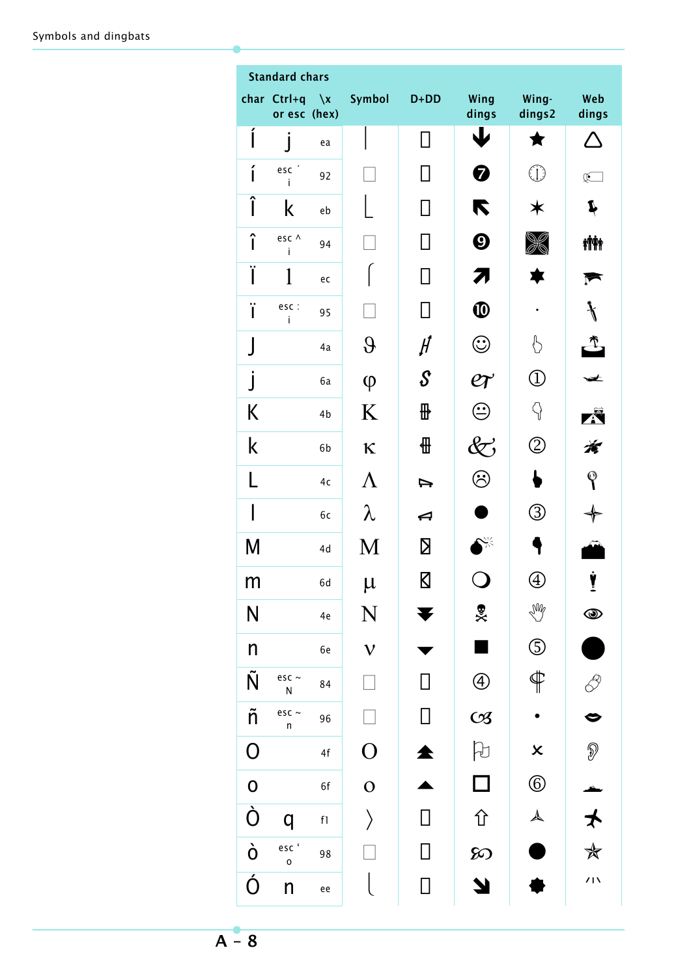| <b>Standard chars</b>   |                             |                         |                |                         |                                          |                           |                 |  |  |
|-------------------------|-----------------------------|-------------------------|----------------|-------------------------|------------------------------------------|---------------------------|-----------------|--|--|
|                         | char Ctrl+q<br>or esc (hex) | $\mathbf{x}$            | Symbol         | $D+DD$                  | Wing<br>dings                            | Wing-<br>dings2           | Web<br>dings    |  |  |
| ĺ                       | J                           | ea                      |                | $\mathsf{L}$            | 业                                        | Ŧ                         |                 |  |  |
| í                       | esc <sup>'</sup><br>Ť       | 92                      |                |                         | 0                                        | $\bigoplus$               | $\mathbb{R}^-$  |  |  |
| Î                       | k                           | eb                      |                |                         | K                                        | ☀                         | Í               |  |  |
| î                       | esc ^<br>i                  | 94                      |                |                         | $\boldsymbol{\Theta}$                    |                           | <b>iÑ</b> i     |  |  |
| Ï                       | 1                           | ec                      |                |                         | 71                                       |                           |                 |  |  |
| ï                       | esc :<br>i                  | 95                      |                |                         | $\boldsymbol{\Phi}$                      |                           |                 |  |  |
|                         |                             | 4a                      | $\partial$     | $\mathcal H$            | $\mathbf{\widehat{\mathbb{C}}}$          | Ӄ                         |                 |  |  |
| $\overline{\mathsf{I}}$ |                             | 6a                      | $\varphi$      | ${\cal S}$              | $e\hspace{-1.5pt}\rule{0pt}{1.5pt} \tau$ | $\overline{\mathbb{O}}$   | ≠               |  |  |
| Κ                       |                             | 4b                      | K              | ⊞                       | ⊕                                        | 9                         | Ä               |  |  |
| k                       |                             | 6b                      | K              | ∰                       | $\widetilde{\nabla}$                     | $\circledZ$               | Á               |  |  |
| L                       |                             | 4c                      | $\Lambda$      | ⇨                       | ව                                        |                           | $\mathbb Q$     |  |  |
|                         |                             | бc                      | λ              | ↤                       |                                          | $\circledS$               |                 |  |  |
| Μ                       |                             | 4d                      | M              | Σ                       | ᢟ                                        |                           |                 |  |  |
| m                       |                             | 6d                      | $\mu$          | $\overline{\mathsf{N}}$ |                                          | $\bigcirc$                | Ŧ               |  |  |
| $\overline{\mathsf{N}}$ |                             | 4e                      | N              | ¥                       | %                                        | W                         | $\circledcirc$  |  |  |
| $\mathsf{n}$            |                             | 6e                      | $\mathbf V$    |                         |                                          | $\circledS$               |                 |  |  |
| Ñ                       | esc $\sim$<br>${\sf N}$     | 84                      |                | $\Box$                  | $\bigcirc$                               | $\overline{\P}$           |                 |  |  |
| ñ                       | esc $\sim$<br>$\sf n$       | 96                      |                | П                       | $\mathcal{C}\mathcal{S}$                 |                           | ⇔               |  |  |
| $\bigcirc$              |                             | 4f                      | $\overline{O}$ | 全                       | $\beta$                                  | $\boldsymbol{\mathsf{x}}$ | $\circledS$     |  |  |
| $\mathbf 0$             |                             | 6f                      | $\mathbf O$    |                         | $\Box$                                   | $\circledS$               |                 |  |  |
| Ò                       | q                           | $\mathsf{f} \mathsf{1}$ | $\big\rangle$  | $\mathsf{I}$            | 仚                                        | $\blacktriangle$          | $\bigstar$      |  |  |
| Ò                       | esc'<br>$\mathsf{o}$        | 98                      |                |                         | တ                                        |                           | ☆               |  |  |
| Ó                       | n                           | ee                      |                | П                       | Y                                        |                           | 71 <sup>2</sup> |  |  |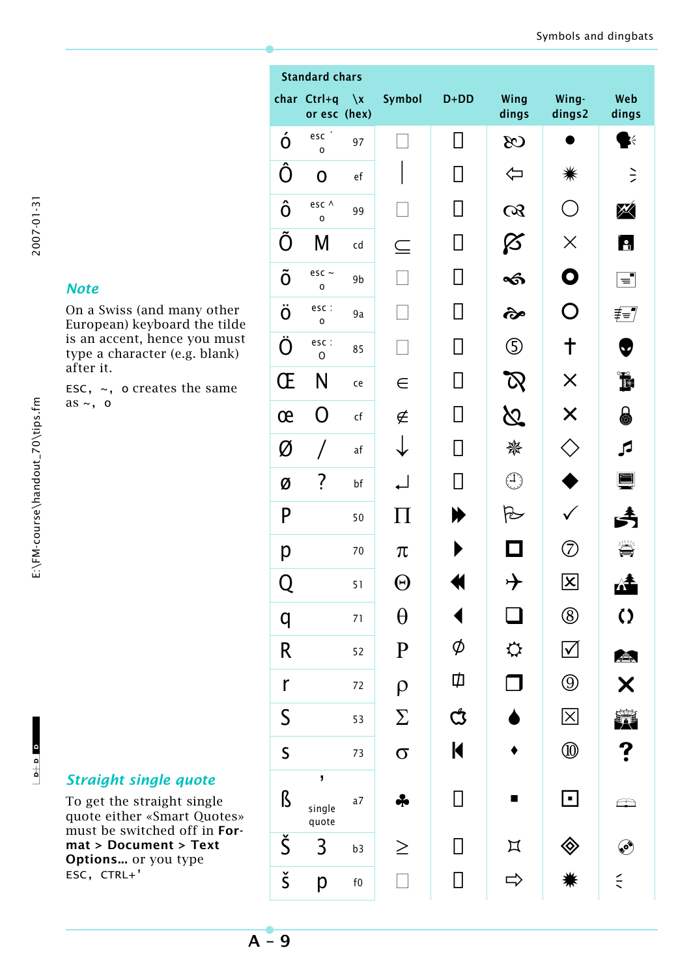### *Note*

On a Swiss (and many other European) keyboard the tilde is an accent, hence you must type a character (e.g. blank) after it.

ESC,  $\sim$ , o creates the same as  $\sim$ , o

To get the straight single quote either «Smart Quotes» must be switched off in **Format > Document > Text Options...** or you type ESC, CTRL+'

|                      | <b>Standard chars</b>       |                        |             |                |                    |                                        |                        |
|----------------------|-----------------------------|------------------------|-------------|----------------|--------------------|----------------------------------------|------------------------|
|                      | char Ctrl+q<br>or esc (hex) | $\sqrt{x}$             | Symbol      | $D+DD$         | Wing<br>dings      | Wing-<br>dings2                        | Web<br>dings           |
| ó                    | esc <sup>2</sup><br>0       | 97                     |             | П              | $\infty$           |                                        | 医                      |
| Ô                    | $\mathbf 0$                 | $\mathsf{e}\mathsf{f}$ |             | l I            | ⇦                  | ☀                                      | ミ                      |
| ô                    | esc ^<br>0                  | 99                     |             | $\blacksquare$ | $\alpha$           | $\begin{pmatrix} 1 \\ 1 \end{pmatrix}$ | M                      |
| Õ                    | M                           | cd                     | $\subseteq$ | $\mathsf{I}$   | Ø                  | $\times$                               | <u>ie,</u>             |
| Õ                    | esc $\sim$<br>O             | 9b                     |             | $\mathsf{L}$   | କ୍ତ                | O                                      | $\equiv$               |
| Ö                    | esc :<br>$\circ$            | 9a                     |             | $\mathsf{I}$   | જે                 | O                                      | ≢≡7                    |
| Ö                    | esc :<br>$\circ$            | 85                     |             | $\mathsf{L}$   | ⑤                  | ╈                                      | $\bullet$              |
| Œ                    | N                           | ce                     | $\in$       | $\mathsf{L}$   |                    | $\times$                               | F                      |
| œ                    | O                           | cf                     | ∉           | $\mathsf{I}$   | $\bm{\mathcal{N}}$ | $\times$                               | 8                      |
| Ø                    | Τ                           | af                     |             | $\mathsf{I}$   | ₩                  | $\zeta$ )                              | ß                      |
| Ø                    | ?                           | bf                     |             | $\mathcal{L}$  |                    |                                        |                        |
| P                    |                             | 50                     | 11          | ¥              | r                  |                                        |                        |
| р                    |                             | 70                     | $\pi$       |                |                    | 7)                                     |                        |
| Q                    |                             | 51                     | $\Theta$    |                | ,                  | $ \mathsf{x} $                         | LI L                   |
| q                    |                             | 71                     | $\theta$    |                |                    | $^{\circledR}$                         | $\Omega$               |
| R                    |                             | 52                     | ${\bf P}$   | Ø              | ⇔                  | $\blacktriangledown$                   | A                      |
| r                    |                             | 72                     | $\rho$      | Ф              |                    | $\circledS$                            | $\bm{\times}$          |
| $\mathsf S$          |                             | 53                     | $\sum$      | ඦ              |                    | $ \mathsf{X} $                         |                        |
| $\mathsf S$          |                             | 73                     | $\sigma$    | $\blacksquare$ |                    | ⑩                                      | ?                      |
| ß                    | J<br>single<br>quote        | a7                     | ♣           | П              | ш                  | $\blacksquare$                         | $\widehat{\mathbb{R}}$ |
| Š                    | 3                           | b <sub>3</sub>         | $\geq$      | П              | $\mathbb{Z}$       | $\otimes$                              | $\bullet$              |
| $\check{\mathsf{s}}$ | p                           | ${\sf f0}$             |             | $\Box$         |                    |                                        | $\leq$                 |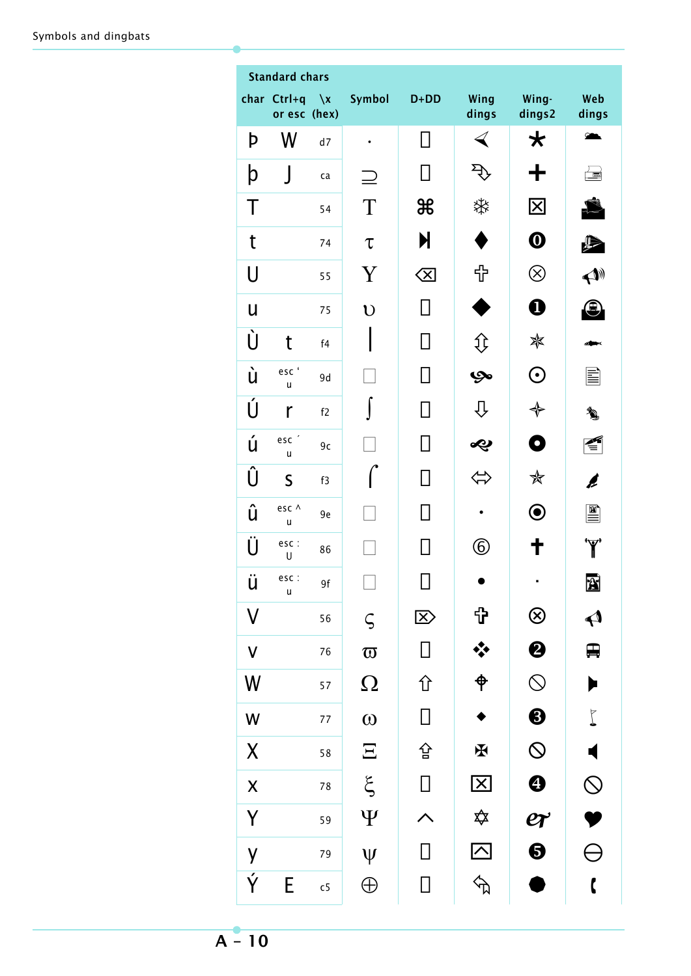|                                 | <b>Standard chars</b>       |                |                       |                 |                         |                               |                           |
|---------------------------------|-----------------------------|----------------|-----------------------|-----------------|-------------------------|-------------------------------|---------------------------|
|                                 | char Ctrl+q<br>or esc (hex) | $\sqrt{x}$     | Symbol                | $D+DD$          | Wing<br>dings           | Wing-<br>dings2               | Web<br>dings              |
| þ                               | W                           | d7             | $\bullet$             | П               | $\blacktriangleleft$    | $\bigstar$                    | $\sum_{i=1}^{n}$          |
| þ                               | $\rfloor$                   | ca             |                       |                 | $\mathbf{r}$            | ╈                             | 圖                         |
| Τ                               |                             | 54             | $\rm T$               | ₩               | ఘ                       | $\overline{\mathbf{X}}$       |                           |
| t                               |                             | 74             | $\tau$                | N               |                         | $\boldsymbol{\Phi}$           | ₽                         |
| U                               |                             | 55             | Y                     | $\langle \Xi  $ | ╬                       | $\otimes$                     | $\blacktriangle$          |
| U                               |                             | 75             | $\mathbf U$           |                 |                         | $\boldsymbol{0}$              | 9                         |
| Ù                               | t                           | f4             |                       |                 | 1ţ                      | ☀                             |                           |
| ù                               | esc'<br>u                   | 9d             |                       |                 | అ                       | $\boldsymbol{\odot}$          | ≣                         |
| Ú                               | r                           | f2             |                       |                 | ſ}                      | $\color{red} \blacklozenge$   | <b>)</b>                  |
| ú                               | esc <sup>'</sup><br>u       | 9c             |                       |                 | や                       | ۰                             |                           |
| Û                               | $\mathsf S$                 | f3             |                       |                 |                         | ✬                             | Ø                         |
| û                               | esc ^<br>u                  | 9e             |                       |                 |                         | $\boldsymbol{\odot}$          | 圖                         |
| Ü                               | esc:<br>U                   | 86             |                       |                 | $^\copyright$           | ╈                             | <b>'Y'</b>                |
| ü                               | esc:<br>u                   | 9f             |                       | $\Box$          |                         |                               | A                         |
| $\mathsf{V}$                    |                             | 56             | $\varsigma$           | $\mathbb{Z}$    | <b>[}</b>               | $\circledR$                   | $\blacklozenge$           |
| $\pmb{\mathsf{V}}$              |                             | 76             | $\boldsymbol{\varpi}$ | П               | ❖                       | $\boldsymbol{\Theta}$         | ₽                         |
| W                               |                             | 57             | $\Omega$              | 仚               | $\hat{\phi}$            | $\bigcirc$                    | $\blacktriangleright$     |
| W                               |                             | $77 \,$        | $\omega$              | $\Box$          |                         | $\boldsymbol{\Theta}$         | $\overline{\mathsf{L}}$   |
| $\pmb{\mathsf{X}}$              |                             | 58             | $\Xi$                 | 숍               | $\tilde{\mathbf{F}}$    | $\circledcirc$                | $\blacktriangleleft$      |
| $\boldsymbol{\mathsf{X}}$       |                             | $7\,8$         | $\xi$                 | $\Box$          | $\overline{\mathbf{X}}$ | $\bf \bm{\Theta}$             | $\mathcal{Q}% _{A}^{(n)}$ |
| Y                               |                             | 59             | $\Psi$                |                 | ✿                       | $e\hspace{-1.5pt}\mathcal{r}$ |                           |
| y                               |                             | 79             | $\Psi$                | $\mathsf{I}$    | $\overline{\triangle}$  | $\boldsymbol{\Theta}$         | $\ominus$                 |
| $\overline{\acute{\mathsf{Y}}}$ | E                           | c <sub>5</sub> | $\oplus$              | П               | $\overline{\mathbb{R}}$ | ı                             | $\mathbf{r}$              |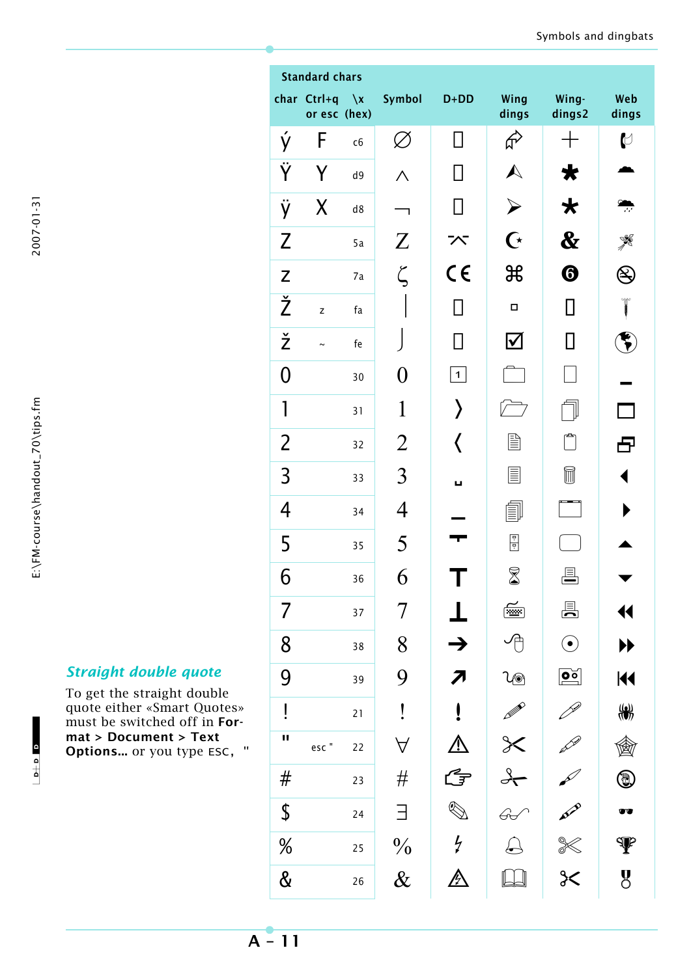2007-01-31

 $\frac{1}{2}$  o  $\frac{1}{2}$ 

 $-1$ 

|                      | char Ctrl+q<br>or esc (hex) | $\chi$ | Symbol           | $D+DD$               | Wing<br>dings                            | Wing-<br>dings2        | Web<br>dings                                                    |
|----------------------|-----------------------------|--------|------------------|----------------------|------------------------------------------|------------------------|-----------------------------------------------------------------|
| ý                    | F                           | c6     | Ø                | $\mathsf{I}$         | ራ                                        |                        | $\biguplus$                                                     |
| $\ddot{\mathsf{Y}}$  | Y                           | d9     | Λ                |                      | $\blacktriangle$                         | ₩                      |                                                                 |
| ÿ                    | Χ                           | d8     | ٦                | $\Box$               | $\blacktriangleright$                    | $\bigstar$             |                                                                 |
| $\mathsf{Z}$         |                             | 5a     | $\boldsymbol{Z}$ | べ                    | $\mathbf C$                              | $\boldsymbol{\&}$      |                                                                 |
| $\mathsf Z$          |                             | 7a     | $\zeta$          | $C \in$              | $\mathfrak{B}$                           | ❻                      |                                                                 |
| $\check{\mathsf{Z}}$ | z                           | fa     |                  |                      | $\Box$                                   | П                      |                                                                 |
| $\check{\mathsf{z}}$ |                             | fe     |                  |                      | $\boldsymbol{\mathsf{\underline{\vee}}}$ | $\Box$                 |                                                                 |
| $\overline{0}$       |                             | 30     | 0                | $\mathbf 1$          |                                          |                        |                                                                 |
| $\mathbf{1}$         |                             | 31     | 1                | ⟩                    |                                          |                        |                                                                 |
| $\overline{2}$       |                             | 32     | $\overline{2}$   | く                    | e                                        |                        | 8                                                               |
| 3                    |                             | 33     | 3                | ш                    | E                                        | ī                      |                                                                 |
| 4                    |                             | 34     | 4                |                      |                                          |                        |                                                                 |
| 5                    |                             | 35     | 5                |                      | H                                        |                        |                                                                 |
| 6                    |                             | 36     | 6                |                      | $\boxtimes$                              |                        |                                                                 |
|                      |                             | 37     | 7                |                      | ◢<br>                                    | 县                      | $\blacklozenge$                                                 |
| 8                    |                             | 38     | 8                | $\rightarrow$        |                                          | $\bigodot$             | ▶▶                                                              |
| 9                    |                             | 39     | 9                |                      | \@                                       | $\boxed{\mathsf{p}_2}$ | $\blacktriangleleft$                                            |
| ļ                    |                             | 21     | İ                |                      |                                          |                        | $\frac{1}{2}$                                                   |
| П                    | esc"                        | 22     | $\forall$        |                      | $\cancel{\times}$                        |                        |                                                                 |
| #                    |                             | 23     | #                | G                    | $\rightarrow$                            |                        | $\textcolor{red}{\textcircled{\footnotesize{1}}}\hspace{1.5ex}$ |
| \$                   |                             | 24     | 3                | $\bigotimes$         |                                          |                        | UT.                                                             |
| $\frac{0}{0}$        |                             | 25     | $\frac{0}{0}$    | $\frac{1}{\epsilon}$ |                                          |                        | $\Psi$                                                          |
| &                    |                             | 26     | $\&$             | <u>p</u>             |                                          | $rac{1}{2}$            | $\overline{g}$                                                  |

# *Straight double quote*

To get the straight double quote either «Smart Quotes» must be switched off in **Format > Document > Text Options...** or you type ESC, " Standard chars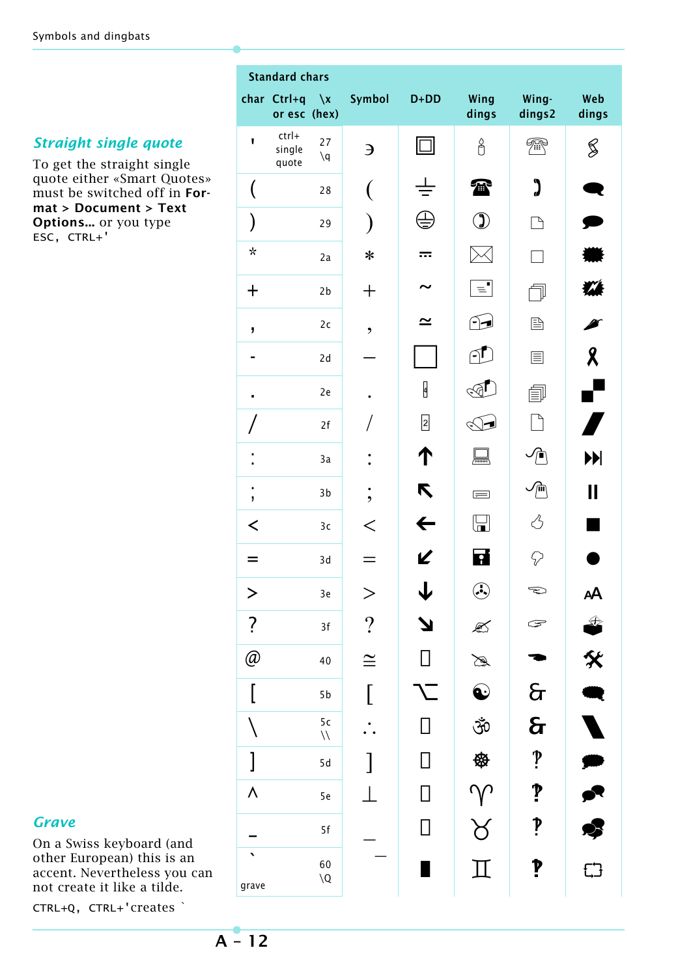## *Straight single quote*

To get the straight single quote either «Smart Quotes» must be switched off in **Format > Document > Text Options...** or you type ESC, CTRL+'

| <b>Standard chars</b>          |                             |                                  |                          |              |                           |                      |                           |
|--------------------------------|-----------------------------|----------------------------------|--------------------------|--------------|---------------------------|----------------------|---------------------------|
|                                | char Ctrl+q<br>or esc (hex) | $\sqrt{x}$                       | Symbol                   | $D+DD$       | Wing<br>dings             | Wing-<br>dings2      | Web<br>dings              |
| $\mathbf{I}$                   | ctrl+<br>single<br>quote    | 27<br>$\mathcal{q}$              | Э                        | $\Box$       | $\overline{\mathring{0}}$ | 梵                    | S                         |
|                                |                             | 28                               |                          |              | Ŧ                         | "                    |                           |
| $\big)$                        |                             | 29                               |                          |              | $\mathbf{\mathfrak{D}}$   | 飞                    |                           |
| $\star$                        |                             | 2a                               | $\ast$                   | ☶            |                           |                      |                           |
| $\pm$                          |                             | 2 <sub>b</sub>                   | $\mathrm{+}$             |              | $\equiv$                  |                      | $\mathbf{M}$              |
| J                              |                             | 2c                               | $\overline{\phantom{a}}$ | ≃            | ি⊉                        | 昏                    |                           |
|                                |                             | 2d                               |                          |              | $\cap \Gamma$             | 圁                    | $\boldsymbol{\mathsf{R}}$ |
| $\blacksquare$                 |                             | 2e                               |                          | Ø            | ନ                         | 闫                    | ſ                         |
|                                |                             | 2f                               |                          | $\boxed{2}$  |                           |                      | Ą                         |
|                                |                             | 3a                               |                          | ↑            | ₹                         | $\sqrt{\phantom{a}}$ | $\blacktriangleright$     |
| ٠<br>$\mathbf{I}$              |                             | 3 <sub>b</sub>                   | $\overline{\phantom{a}}$ | R            | $\equiv$                  | ⑪                    | II                        |
| ≺                              |                             | 3c                               | $\,<\,$                  | $\leftarrow$ | لطا                       | 端                    |                           |
| =                              |                             | 3d                               |                          | K            | $\overline{\cdot}$        | P                    |                           |
| $\geq$                         |                             | 3e                               | >                        | $\downarrow$ | $\odot$                   | $\bigcirc$           | AA                        |
| $\overline{\cdot}$             |                             | 3f                               | $\overline{\mathcal{L}}$ | N            | €                         | ٦                    | Ŝ                         |
| @                              |                             | 40                               | $\cong$                  | $\Box$       | Á                         |                      | X                         |
| [                              |                             | 5b                               | [                        |              | $\bf Q$                   | $\sigma$             | Q                         |
|                                |                             | 5 <sub>c</sub><br>$\bar{\cal U}$ |                          | П            | ŠÓ                        | $\mathbf{\hat{a}}$   |                           |
| $\begin{array}{c} \end{array}$ |                             | 5d                               |                          |              | ₩                         | $\sum_{i=1}^{n}$     | Į                         |
| $\lambda$                      |                             | 5e                               |                          | П            | $\gamma$                  | $\mathbf{P}$         | r                         |
|                                |                             | 5f                               |                          | $\Box$       | $\forall$                 | p                    | 4                         |
| grave                          |                             | 60<br>$\setminus Q$              |                          |              | $\rm \Pi$                 | P                    | E <sup>4</sup>            |

### *Grave*

On a Swiss keyboard (and other European) this is an accent. Nevertheless you can not create it like a tilde.

CTRL+Q, CTRL+'creates `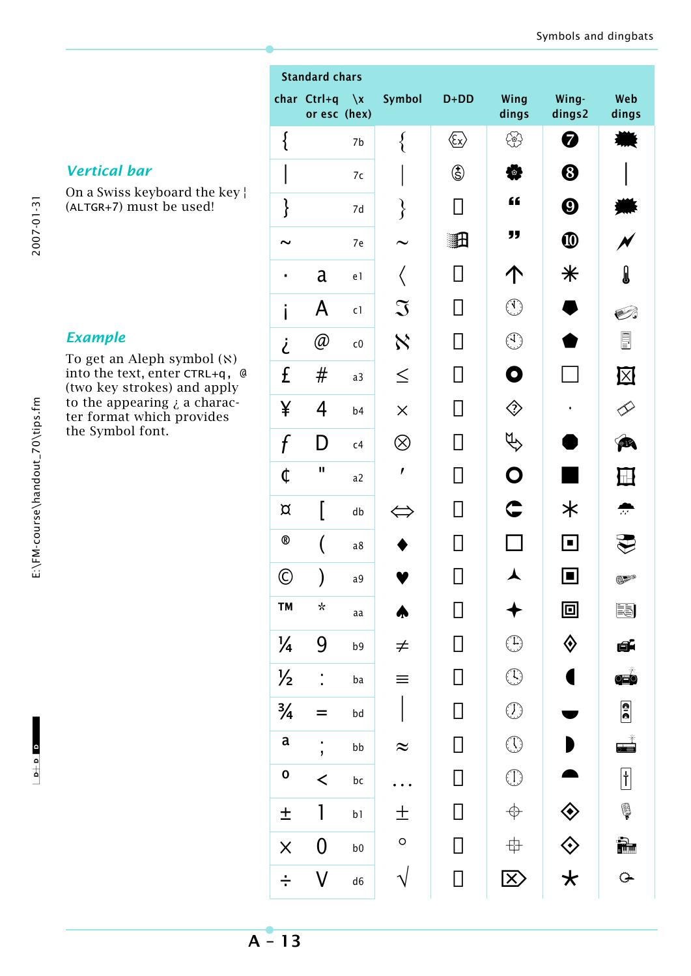2007-01-31

*Vertical bar*

*Example*

the Symbol font.

On a Swiss keyboard the key ¦

To get an Aleph symbol (ℵ) into the text, enter CTRL+q, @ (two key strokes) and apply to the appearing  $\lambda$  a character format which provides

(ALTGR+7) must be used!

| г<br>v |  |
|--------|--|
|        |  |

|                | <b>Standard chars</b>              |                |                |                                                                                                                                                    |                                                                                                                                                                                                                                                                                                                                                     |                       |                                                                                                                                                                                                                                                                                                                                                     |
|----------------|------------------------------------|----------------|----------------|----------------------------------------------------------------------------------------------------------------------------------------------------|-----------------------------------------------------------------------------------------------------------------------------------------------------------------------------------------------------------------------------------------------------------------------------------------------------------------------------------------------------|-----------------------|-----------------------------------------------------------------------------------------------------------------------------------------------------------------------------------------------------------------------------------------------------------------------------------------------------------------------------------------------------|
|                | char Ctrl+q $\chi$<br>or esc (hex) |                | Symbol         | $D+DD$                                                                                                                                             | Wing<br>dings                                                                                                                                                                                                                                                                                                                                       | Wing-<br>dings2       | Web<br>dings                                                                                                                                                                                                                                                                                                                                        |
| {              |                                    | 7b             | $\big\{$       | $\langle\!\!\!\langle \mathstrut\overline{\mathstrut}_{\mathstrut\overline{\mathstrut}_{\mathstrut\!\!\!\langle}}\mathstrut\rangle\!\!\!\!\rangle$ | 쓩                                                                                                                                                                                                                                                                                                                                                   | 0                     |                                                                                                                                                                                                                                                                                                                                                     |
|                |                                    | 7c             |                | 调                                                                                                                                                  | Ø                                                                                                                                                                                                                                                                                                                                                   | ❸                     |                                                                                                                                                                                                                                                                                                                                                     |
| }              |                                    | 7d             | $\}$           |                                                                                                                                                    | "                                                                                                                                                                                                                                                                                                                                                   | $\boldsymbol{\Theta}$ |                                                                                                                                                                                                                                                                                                                                                     |
|                |                                    | 7e             |                | 調                                                                                                                                                  | "                                                                                                                                                                                                                                                                                                                                                   | $\boldsymbol{\Phi}$   |                                                                                                                                                                                                                                                                                                                                                     |
| $\blacksquare$ | a                                  | e l            |                |                                                                                                                                                    |                                                                                                                                                                                                                                                                                                                                                     | $\,$ $\,$             | J                                                                                                                                                                                                                                                                                                                                                   |
| i              | A                                  | c1             | $\mathfrak{I}$ |                                                                                                                                                    | $\bigcirc$                                                                                                                                                                                                                                                                                                                                          |                       | է                                                                                                                                                                                                                                                                                                                                                   |
| į              | @                                  | ${\sf c}0$     | $\aleph$       |                                                                                                                                                    | $\bigcirc$                                                                                                                                                                                                                                                                                                                                          |                       | <u>E</u>                                                                                                                                                                                                                                                                                                                                            |
| £              | #                                  | a <sub>3</sub> | $\leq$         |                                                                                                                                                    | 0                                                                                                                                                                                                                                                                                                                                                   |                       | $\overline{\mathbb{X}}$                                                                                                                                                                                                                                                                                                                             |
| ¥              | 4                                  | b4             | $\times$       |                                                                                                                                                    | ♢                                                                                                                                                                                                                                                                                                                                                   |                       |                                                                                                                                                                                                                                                                                                                                                     |
| f              | D                                  | c4             | $\otimes$      |                                                                                                                                                    |                                                                                                                                                                                                                                                                                                                                                     |                       |                                                                                                                                                                                                                                                                                                                                                     |
| ¢              | П                                  | a2             | $\mathbf{r}$   |                                                                                                                                                    | O                                                                                                                                                                                                                                                                                                                                                   |                       |                                                                                                                                                                                                                                                                                                                                                     |
| $\alpha$       |                                    | db             |                |                                                                                                                                                    | $\mathbf \subseteq$                                                                                                                                                                                                                                                                                                                                 | 氺                     | $\overline{\mathcal{L}}$                                                                                                                                                                                                                                                                                                                            |
| $^\circledR$   |                                    | a8             |                |                                                                                                                                                    |                                                                                                                                                                                                                                                                                                                                                     | $\Box$                |                                                                                                                                                                                                                                                                                                                                                     |
| $\odot$        | )                                  | a9             |                | Ц                                                                                                                                                  |                                                                                                                                                                                                                                                                                                                                                     | Ш                     | 62°                                                                                                                                                                                                                                                                                                                                                 |
| <b>TM</b>      | $\star$                            | aa             |                |                                                                                                                                                    |                                                                                                                                                                                                                                                                                                                                                     | 回                     | e)                                                                                                                                                                                                                                                                                                                                                  |
| $\frac{1}{4}$  | 9                                  | b9             | $\neq$         | П                                                                                                                                                  | $\bigoplus$                                                                                                                                                                                                                                                                                                                                         | ♦                     | đĹ                                                                                                                                                                                                                                                                                                                                                  |
| $\frac{1}{2}$  | $\ddot{\ }$                        | ba             |                | П                                                                                                                                                  | $\begin{picture}(22,20) \put(0,0){\line(1,0){10}} \put(15,0){\line(1,0){10}} \put(15,0){\line(1,0){10}} \put(15,0){\line(1,0){10}} \put(15,0){\line(1,0){10}} \put(15,0){\line(1,0){10}} \put(15,0){\line(1,0){10}} \put(15,0){\line(1,0){10}} \put(15,0){\line(1,0){10}} \put(15,0){\line(1,0){10}} \put(15,0){\line(1,0){10}} \put(15,0){\line(1$ |                       | $\overline{\mathbf{q}}$                                                                                                                                                                                                                                                                                                                             |
| $\frac{3}{4}$  | =                                  | bd             |                | $\Box$                                                                                                                                             | $\begin{picture}(22,20) \put(0,0){\line(1,0){10}} \put(15,0){\line(1,0){10}} \put(15,0){\line(1,0){10}} \put(15,0){\line(1,0){10}} \put(15,0){\line(1,0){10}} \put(15,0){\line(1,0){10}} \put(15,0){\line(1,0){10}} \put(15,0){\line(1,0){10}} \put(15,0){\line(1,0){10}} \put(15,0){\line(1,0){10}} \put(15,0){\line(1,0){10}} \put(15,0){\line(1$ |                       | <b>a</b><br>0                                                                                                                                                                                                                                                                                                                                       |
| $\mathsf a$    | $\frac{1}{2}$                      | bb             | $\approx$      | П                                                                                                                                                  | $\bigcirc$                                                                                                                                                                                                                                                                                                                                          |                       | $\begin{picture}(20,20) \put(0,0){\line(1,0){10}} \put(15,0){\line(1,0){10}} \put(15,0){\line(1,0){10}} \put(15,0){\line(1,0){10}} \put(15,0){\line(1,0){10}} \put(15,0){\line(1,0){10}} \put(15,0){\line(1,0){10}} \put(15,0){\line(1,0){10}} \put(15,0){\line(1,0){10}} \put(15,0){\line(1,0){10}} \put(15,0){\line(1,0){10}} \put(15,0){\line(1$ |
| $\mathbf{o}$   | $\prec$                            | bc             |                | $\Box$                                                                                                                                             | $\bigcirc$                                                                                                                                                                                                                                                                                                                                          |                       | $\begin{bmatrix} 1 \ 1 \end{bmatrix}$                                                                                                                                                                                                                                                                                                               |
| $\pm$          | 1                                  | b1             | 土              | $\Box$                                                                                                                                             | $\Rightarrow$                                                                                                                                                                                                                                                                                                                                       | ◈                     | Ş                                                                                                                                                                                                                                                                                                                                                   |
| $\times$       | $\pmb{0}$                          | b <sub>0</sub> | $\circ$        | $\Box$                                                                                                                                             | \$                                                                                                                                                                                                                                                                                                                                                  | $\Diamond$            | Ì.                                                                                                                                                                                                                                                                                                                                                  |
|                | V                                  | d6             |                | $\mathsf{I}$                                                                                                                                       | $\bm{\mathsf{X}}$                                                                                                                                                                                                                                                                                                                                   | $\star$               | $\Rightarrow$                                                                                                                                                                                                                                                                                                                                       |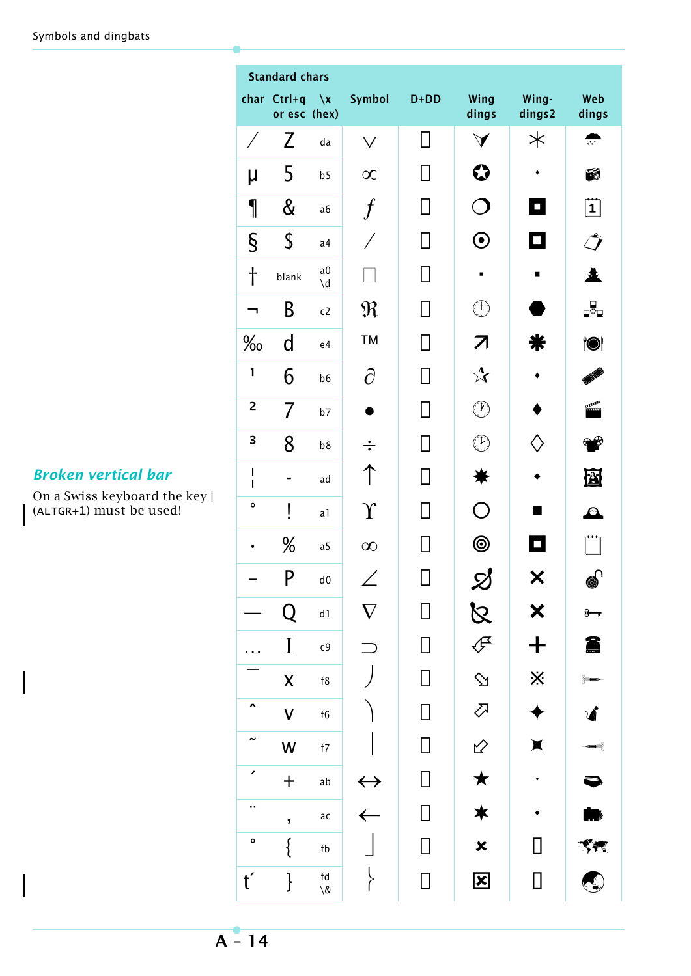|                         | <b>Standard chars</b>       |                                                                |                   |              |                                               |                             |                          |  |
|-------------------------|-----------------------------|----------------------------------------------------------------|-------------------|--------------|-----------------------------------------------|-----------------------------|--------------------------|--|
|                         | char Ctrl+q<br>or esc (hex) | $\chi$                                                         | Symbol            | $D+DD$       | Wing<br>dings                                 | Wing-<br>dings2             | Web<br>dings             |  |
| Γ                       | Z                           | da                                                             | $\checkmark$      | Ш            | $\blacktriangledown$                          | $\ast$                      | $x^*x^*$                 |  |
| μ                       | 5                           | b <sub>5</sub>                                                 | $\infty$          |              | ♦                                             |                             | ÉÓ                       |  |
| 1                       | $\&$                        | a6                                                             |                   |              | $\Box$                                        | $\Box$                      | $\dddot{\mathbf{1}}$     |  |
| $\S$                    | \$                          | a <sub>4</sub>                                                 |                   |              | $\boldsymbol{\odot}$                          | О                           | $\mathcal{L}$            |  |
| $\dagger$               | blank                       | a0<br>$\mathsf{d}'$                                            |                   | $\mathsf{L}$ | п                                             | $\blacksquare$              | 々                        |  |
|                         | B                           | c2                                                             | $\mathfrak{R}$    |              | $\bigcirc$                                    |                             | _¤°⊒                     |  |
| $\%$                    | d                           | e4                                                             | <b>TM</b>         | $\mathsf{L}$ | 7                                             |                             | <b>io</b> i              |  |
| $\mathbf{1}$            | 6                           | b6                                                             | $\partial$        |              | $\boldsymbol{\chi}$                           |                             |                          |  |
| $\overline{\mathbf{c}}$ | 7                           | b7                                                             |                   |              | $\bigcirc$                                    |                             |                          |  |
| 3                       | 8                           | b8                                                             | $\div$            |              | $\left( 1\right)$                             |                             |                          |  |
| I<br>I                  |                             | ad                                                             |                   | $\mathsf{I}$ |                                               |                             | 図                        |  |
| $\mathbf{o}$            | ļ                           | a <sub>1</sub>                                                 | $\mathbf{r}$      |              | $\left(\begin{array}{c} 1 \end{array}\right)$ |                             | $\boldsymbol{\varOmega}$ |  |
|                         | %                           | a <sub>5</sub>                                                 | $\infty$          |              | $\circledcirc$                                | $\mathcal{L}_{\mathcal{A}}$ |                          |  |
|                         | P                           | ${\rm d}0$                                                     |                   |              | 9                                             | X                           |                          |  |
|                         | Q                           | d1                                                             |                   | $\mathsf{I}$ | $\beta$                                       | X                           | $8 - 1$                  |  |
|                         | I                           | c <sub>9</sub>                                                 |                   | П            | $\mathcal{L}$                                 | $\bm{+}$                    | 8                        |  |
|                         | $\boldsymbol{\mathsf{X}}$   | $\ensuremath{\mathsf{f}}\xspace\ensuremath{\mathsf{8}}\xspace$ |                   | $\Box$       | $\hat{\mathbf{y}}$                            | X                           |                          |  |
| Ā                       | $\checkmark$                | f6                                                             |                   | П            | $\bigtriangledown$                            |                             | √                        |  |
|                         | W                           | f7                                                             |                   | $\Box$       | $\overline{2}$                                | X                           | ⊷                        |  |
| ∕                       | $+$                         | ab                                                             | $\leftrightarrow$ | П            | $\bigstar$                                    |                             |                          |  |
| ٠.                      | j,                          | ac                                                             | $\leftarrow$      |              | $\bigstar$                                    |                             | ķ                        |  |
| $\circ$                 | {                           | fb                                                             |                   | $\prod$      | ×                                             | l l                         | ९ल,                      |  |
| $t^{\prime}$            | $\big\}$                    | fd<br>$\backslash \&$                                          |                   | П            | $\mathbf{\overline{x}}$                       | $\Box$                      |                          |  |

### **Broken vertical bar**

On a Swiss keyboard the key |<br>(ALTGR+1) must be used!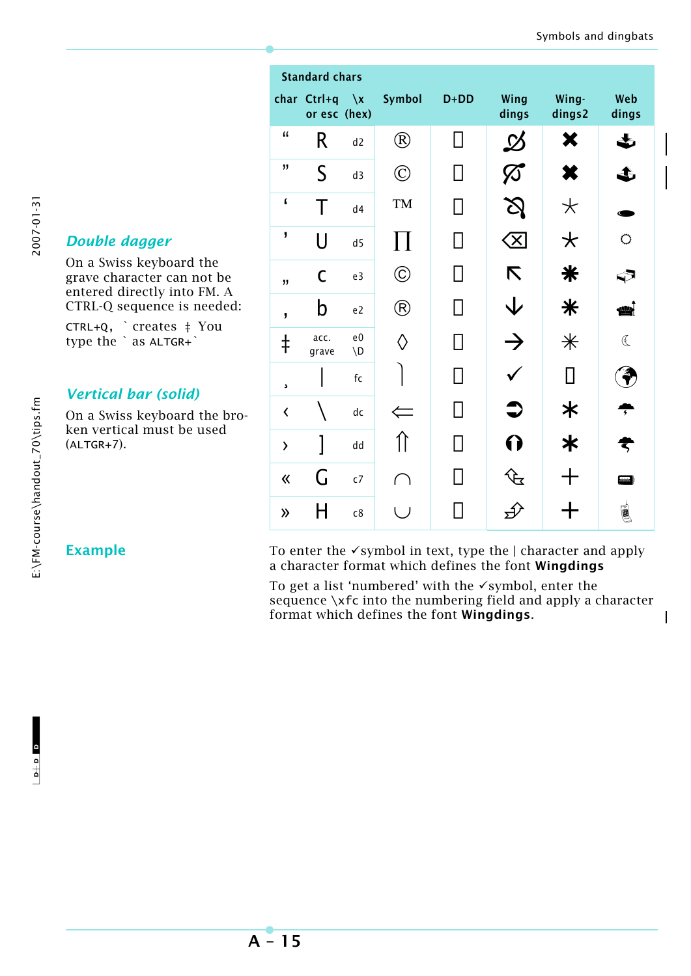$\mathbf{I}$ 

|                          | <b>Standard chars</b>              |                                 |                   |              |                                  |                  |              |
|--------------------------|------------------------------------|---------------------------------|-------------------|--------------|----------------------------------|------------------|--------------|
|                          | char Ctrl+q $\chi$<br>or esc (hex) |                                 | Symbol            | $D+DD$       | Wing<br>dings                    | Wing-<br>dings2  | Web<br>dings |
| $\mathbf{f}$             | R                                  | d2                              | $^{\circledR}$    | l l          | $\boldsymbol{\vartriangleright}$ | ×                | ♨            |
| "                        | $\mathsf S$                        | d3                              | $\copyright$      | $\mathsf{I}$ |                                  | X                | 3            |
| $\pmb{\mathsf{f}}$       | Τ                                  | d4                              | TM                | l I          |                                  | $\star$          |              |
| J                        | $\cup$                             | d5                              | $\prod$           |              | X.                               | $\bigstar$       | $\circ$      |
| 11                       | $\mathsf C$                        | e3                              | $^{\copyright}$   | $\mathsf{I}$ | K                                | ₩                | ଇ            |
| $\overline{\phantom{a}}$ | b                                  | e <sub>2</sub>                  | $\circledR$       |              | 业                                | $\ast$           | أيتللن       |
| $\ddagger$               | acc.<br>grave                      | e <sub>0</sub><br>$\setminus D$ | $\langle \rangle$ |              | $\rightarrow$                    | $\divideontimes$ | $\mathbb{C}$ |
| 5                        |                                    | fc                              |                   |              |                                  | П                |              |
| $\overline{\textbf{C}}$  |                                    | dc                              |                   |              |                                  | ≭                |              |
| $\overline{\phantom{0}}$ | 1                                  | dd                              |                   |              |                                  | ≭                |              |
| $\langle \langle$        | G                                  | c7                              |                   |              | ᡃᢗᡫᢦ                             |                  | Œ            |
| $\lambda$                | H                                  | c8                              |                   |              |                                  |                  | (<br>-<br> - |

# 2007-01-31

## Double dagger

On a Swiss keyboard the grave character can not be entered directly into FM. A CTRL-Q sequence is needed:

CTRL+Q, `creates ‡ You type the `as ALTGR+`

## **Vertical bar (solid)**

On a Swiss keyboard the broken vertical must be used  $(ALTGR+7).$ 

### **Example**

To enter the  $\checkmark$  symbol in text, type the  $\checkmark$  character and apply a character format which defines the font Wingdings

To get a list 'numbered' with the  $\checkmark$  symbol, enter the sequence \xfc into the numbering field and apply a character format which defines the font Wingdings.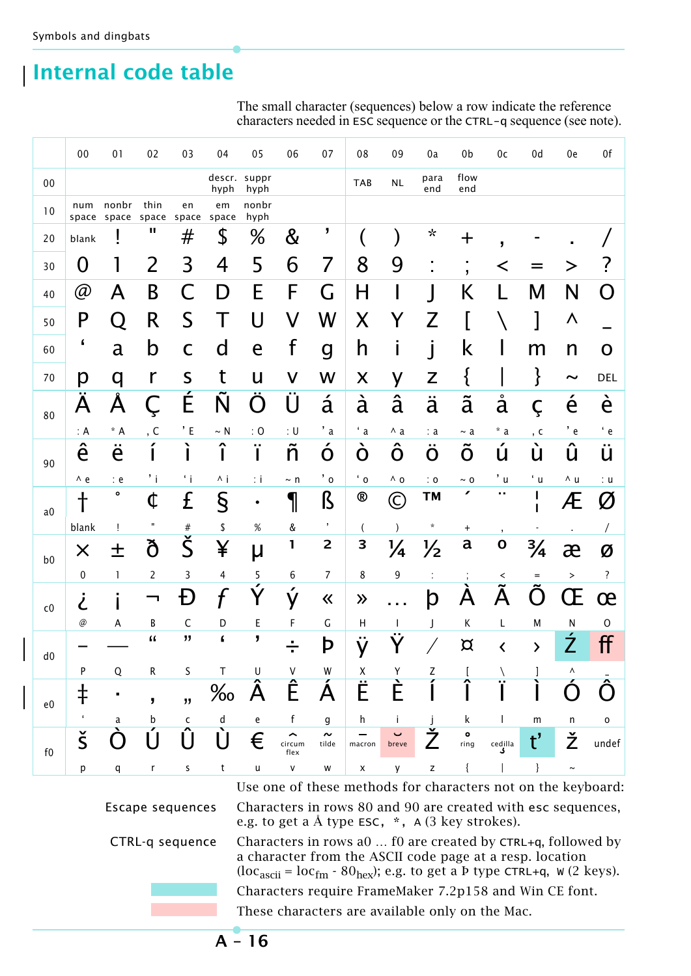# **Internal code table**

The small character (sequences) below a row indicate the reference characters needed in ESC sequence or the CTRL-q sequence (see note).

|                | 00                   | 01                               | 02             | 03                      | 04                          | 05                             | 06                              | 07                      | 08                                  | 09                                | 0a                 | 0b                | 0c                                     | 0d                        | 0e                    | 0f                      |
|----------------|----------------------|----------------------------------|----------------|-------------------------|-----------------------------|--------------------------------|---------------------------------|-------------------------|-------------------------------------|-----------------------------------|--------------------|-------------------|----------------------------------------|---------------------------|-----------------------|-------------------------|
| 00             |                      |                                  |                |                         | hyph                        | descr. suppr<br>hyph           |                                 |                         | <b>TAB</b>                          | $\sf NL$                          | para<br>end        | flow<br>end       |                                        |                           |                       |                         |
| 10             | num                  | nonbr<br>space space space space | thin           | en                      | em<br>space                 | nonbr<br>hyph                  |                                 |                         |                                     |                                   |                    |                   |                                        |                           |                       |                         |
| 20             | blank                |                                  | ш              | #                       | \$                          | %                              | &                               | J                       |                                     | )                                 | $\star$            | $\pm$             | ,                                      |                           |                       |                         |
| 30             | 0                    | 1                                | 2              | 3                       | 4                           | 5                              | 6                               | 7                       | 8                                   | 9                                 |                    | $\mathbf{J}$      | く                                      |                           |                       | 7                       |
| 40             | @                    | A                                | B              | $\mathsf C$             | D                           | Е                              | F                               | G                       | H                                   | I                                 | $\rfloor$          | Κ                 | L                                      | M                         | N                     | O                       |
| 50             | P                    | Q                                | R              | S                       | Т                           | U                              | V                               | W                       | X                                   | Y                                 | Z                  |                   |                                        |                           | Λ                     |                         |
| 60             | $\pmb{\zeta}$        | a                                | b              | $\mathsf C$             | $\mathsf{d}$                | e                              | f                               | $\mathsf g$             | h                                   | $\mathbf I$                       | j                  | k                 |                                        | m                         | n                     | O                       |
| 70             | р                    | q                                | $\mathsf{r}$   | S                       | t                           | U                              | V                               | W                       | $\boldsymbol{\mathsf{X}}$           | y                                 | Z                  | $\{$              |                                        | }                         | $\tilde{\phantom{a}}$ | <b>DEL</b>              |
|                | A                    | Å                                | Ç              | É                       | $\tilde{\mathsf{N}}$        | $\overline{\bullet}$           | Ü                               | á                       | à                                   | â                                 | ä                  | $\tilde{a}$       | å                                      | Ç                         | {<br>e                | è                       |
| 80             | : A                  | $* A$                            | , C            | $^{\prime}$ E           | $\sim N$                    | : $O$                          | : $\sf U$                       | $^{\prime}$ a           | $\cdot a$                           | $\wedge$ a                        | : a                | $\sim a$          | $^{\star}$ a                           | , c                       | $^{\prime}$ e         | $^{\prime}$ e           |
| 90             | ê                    | $\bullet$ $\bullet$<br>e         | ◢              | ì                       | Î                           | $\blacksquare$<br>$\mathbf{I}$ | ñ                               | ∕<br>Ō                  | $\blacktriangledown$<br>$\mathbf O$ | Ô                                 | $\sim$ $\sim$<br>O | Õ                 | ◢<br>U                                 | $\blacktriangledown$<br>Ū | ^<br>U                | ü                       |
|                | $\wedge$ e           | : e                              | 'i             | $\cdot$ i               | Λj                          | $\pm$ i                        | $\sim$ n                        | $^{\prime}$ o           | $^{\prime}$ 0                       | $\wedge$ 0                        | $\therefore$ 0     | $\sim 0$          | $^\prime$ u                            | $^{\prime}$ u             | ∧ u                   | : u                     |
| a <sub>0</sub> | $\dagger$            | $\bullet$                        | ¢              | £                       | $\S$                        | ٠                              | 1                               | ß                       | ®                                   | $\copyright$                      | <b>TM</b>          | ∕                 | ٠.                                     | I<br>П                    | Æ                     | Ø                       |
|                | blank                | Ţ                                | $\mathbf H$    | $\#$                    | \$                          | $\%$                           | &                               | $\pmb{\jmath}$          | $\overline{(\ }$                    | $\mathcal{E}$                     | ×                  | $\ddot{}$         | $\mathbf{I}$                           |                           |                       | $\sqrt{2}$              |
| b <sub>0</sub> | $\times$             | 土                                | ð              | $\check{\sf S}$         | ¥                           | μ                              | 1                               | $\overline{\mathbf{c}}$ | 3                                   | $\frac{1}{4}$                     | ½                  | a                 | $\mathbf 0$                            | $\frac{3}{4}$             | æ                     | Ø                       |
|                | $\pmb{0}$            | 1                                | $\overline{c}$ | 3                       | 4                           | 5<br>╭                         | 6                               | 7                       | 8                                   | 9                                 |                    |                   | $\,<\,$                                | $=$                       | $\, >$                | $\overline{\mathbf{?}}$ |
| c0             | と                    |                                  |                | Đ                       | $\boldsymbol{f}$            |                                | $\boldsymbol{r}$<br>y           | 巜                       | $\lambda$                           | .                                 | þ                  | А                 | А                                      | $\cap$                    | Œ                     | œ                       |
|                | @                    | А                                | В              | C                       | D                           | E                              | F                               | $\mathsf C$             | $\mathsf{H}$                        | $\mathbf{I}$                      | J                  | K                 | L                                      | М                         | N                     | $\mathsf{O}\xspace$     |
| ${\rm d}0$     |                      |                                  | "              | 33                      | $\pmb{\zeta}$               | J                              |                                 | Þ                       | ÿ                                   |                                   |                    | $\alpha$          | $\checkmark$                           | $\mathbf{\lambda}$        | Ź                     | ff                      |
|                | P                    | Q                                | R              | S                       | T                           | U                              | ٧                               | W                       | Χ                                   | Y                                 | Z                  |                   |                                        |                           | ٨                     |                         |
| $\rm e0$       | $\ddagger$           | ٠                                | J              | $\overline{\mathbf{H}}$ | $\%$                        | $\mathbf{\hat{A}}$             | Ê                               | A                       | Ë                                   |                                   |                    |                   |                                        |                           |                       |                         |
|                | $\pmb{\epsilon}$     | a                                | b              | C                       | $\operatorname{\mathsf{d}}$ | e                              | $\mathsf f$                     | g                       | h                                   | j.                                |                    | k                 |                                        | ${\sf m}$                 | n                     | o                       |
| ${\sf f0}$     | $\check{\mathsf{S}}$ |                                  | U              | Û                       | Ù                           | €                              | $\rightarrow$<br>circum<br>flex | $\sim$<br>tilde         | macron                              | $\overline{\phantom{0}}$<br>breve |                    | $\bullet$<br>ring | $\overset{\text{codilla}}{\mathbf{J}}$ | $\mathsf{t}'$             | Ž                     | undef                   |
|                | p                    | q                                | r              | s                       | $\sf t$                     | $\sf u$                        | $\mathsf{V}$                    | W                       | $\pmb{\times}$                      | у                                 | Z                  | {                 |                                        | $\}$                      | $\thicksim$           |                         |

Use one of these methods for characters not on the keyboard:

Escape sequences

CTRL-q sequence

Characters in rows 80 and 90 are created with esc sequences, e.g. to get a  $\AA$  type ESC,  $*$ ,  $\AA$  (3 key strokes).

Characters in rows a0 ... f0 are created by CTRL+q, followed by a character from the ASCII code page at a resp. location  $(loc<sub>ascii</sub> = loc<sub>fm</sub> - 80<sub>hex</sub>)$ ; e.g. to get a b type CTRL+q, w (2 keys). Characters require FrameMaker 7.2p158 and Win CE font. These characters are available only on the Mac.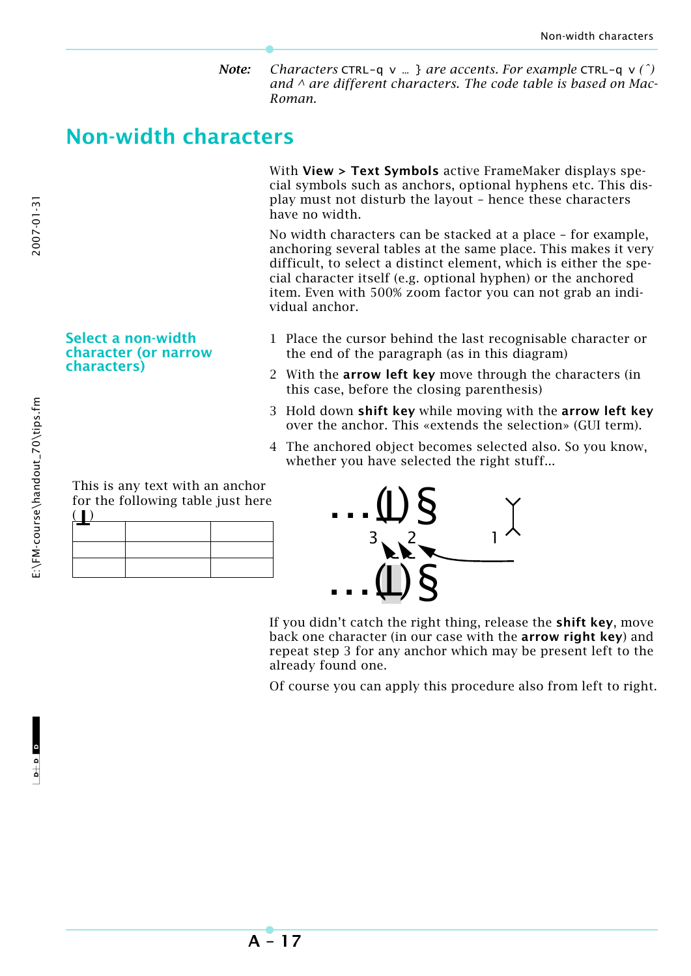*Note: Characters* CTRL-q v … } *are accents. For example* CTRL-q v *(ˆ) and ^ are different characters. The code table is based on Mac-Roman.*

# **Non-width characters**

With **View > Text Symbols** active FrameMaker displays special symbols such as anchors, optional hyphens etc. This display must not disturb the layout – hence these characters have no width.

No width characters can be stacked at a place – for example, anchoring several tables at the same place. This makes it very difficult, to select a distinct element, which is either the special character itself (e.g. optional hyphen) or the anchored item. Even with 500% zoom factor you can not grab an individual anchor.

### 1 Place the cursor behind the last recognisable character or the end of the paragraph (as in this diagram)

- 2 With the **arrow left key** move through the characters (in this case, before the closing parenthesis)
- 3 Hold down **shift key** while moving with the **arrow left key** over the anchor. This «extends the selection» (GUI term).
- 4 The anchored object becomes selected also. So you know, whether you have selected the right stuff...

| This is any text with an anchor<br>for the following table just here |  |
|----------------------------------------------------------------------|--|
|                                                                      |  |
|                                                                      |  |

**Select a non-width character (or narrow** 

**characters)**



If you didn't catch the right thing, release the **shift key**, move back one character (in our case with the **arrow right key**) and repeat step 3 for any anchor which may be present left to the already found one.

Of course you can apply this procedure also from left to right.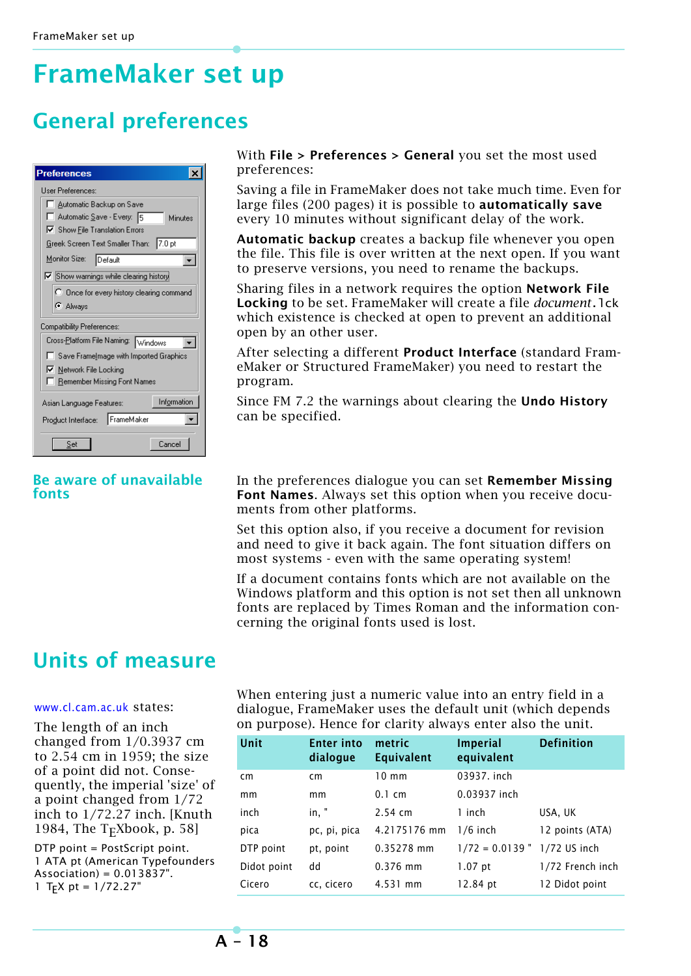# **FrameMaker set up**

# **General preferences**

| <b>Preferences</b>                              |
|-------------------------------------------------|
| User Preferences:                               |
| □ Automatic Backup on Save                      |
| Automatic Save - Every: 5<br>Minutes            |
| □ Show File Translation Errors                  |
| 17.0 pt<br>Greek Screen Text Smaller Than:      |
| Monitor Size:<br>Default                        |
| $\nabla$ Show warnings while clearing history   |
| C Once for every history clearing command       |
| <b>C</b> Always                                 |
| Compatibility Preferences:                      |
| Cross- <u>P</u> latform File Naming:<br>Windows |
| Save Framelmage with Imported Graphics          |
| Ⅳ Network File Locking                          |
| □ Remember Missing Font Names                   |
| Information<br>Asian Language Features:         |
| FrameMaker<br>Product Interface:                |
| Cancel<br>Set                                   |

### **Be aware of unavailable fonts**

With **File > Preferences > General** you set the most used preferences:

Saving a file in FrameMaker does not take much time. Even for large files (200 pages) it is possible to **automatically save** every 10 minutes without significant delay of the work.

**Automatic backup** creates a backup file whenever you open the file. This file is over written at the next open. If you want to preserve versions, you need to rename the backups.

Sharing files in a network requires the option **Network File Locking** to be set. FrameMaker will create a file *document*.lck which existence is checked at open to prevent an additional open by an other user.

After selecting a different **Product Interface** (standard FrameMaker or Structured FrameMaker) you need to restart the program.

Since FM 7.2 the warnings about clearing the **Undo History** can be specified.

In the preferences dialogue you can set **Remember Missing Font Names**. Always set this option when you receive documents from other platforms.

Set this option also, if you receive a document for revision and need to give it back again. The font situation differs on most systems - even with the same operating system!

If a document contains fonts which are not available on the Windows platform and this option is not set then all unknown fonts are replaced by Times Roman and the information concerning the original fonts used is lost.

# **Units of measure**

### [www.cl.cam.ac.uk](http://www.cl.cam.ac.uk/~mgk25/metric-typo/) states:

The length of an inch changed from 1/0.3937 cm to 2.54 cm in 1959; the size of a point did not. Consequently, the imperial 'size' of a point changed from 1/72 inch to 1/72.27 inch. [Knuth 1984, The  $T_FXbook$ , p. 58]

DTP point = PostScript point. 1 ATA pt (American Typefounders  $Association) = 0.013837$ ". 1 T<sub>F</sub>X pt =  $1/72.27$ "

When entering just a numeric value into an entry field in a dialogue, FrameMaker uses the default unit (which depends on purpose). Hence for clarity always enter also the unit.

| Unit        | <b>Enter into</b><br>dialogue | metric<br><b>Equivalent</b> | <b>Imperial</b><br>equivalent | <b>Definition</b> |
|-------------|-------------------------------|-----------------------------|-------------------------------|-------------------|
| cm          | cm                            | $10 \text{ mm}$             | 03937. inch                   |                   |
| mm          | mm                            | $0.1 \text{ cm}$            | 0.03937 inch                  |                   |
| inch        | in, "                         | $2.54$ cm                   | 1 inch                        | USA, UK           |
| pica        | pc, pi, pica                  | 4.2175176 mm                | $1/6$ inch                    | 12 points (ATA)   |
| DTP point   | pt, point                     | 0.35278 mm                  | $1/72 = 0.0139$ "             | $1/72$ US inch    |
| Didot point | dd                            | $0.376$ mm                  | $1.07$ pt                     | 1/72 French inch  |
| Cicero      | cc, cicero                    | 4.531 mm                    | 12.84 pt                      | 12 Didot point    |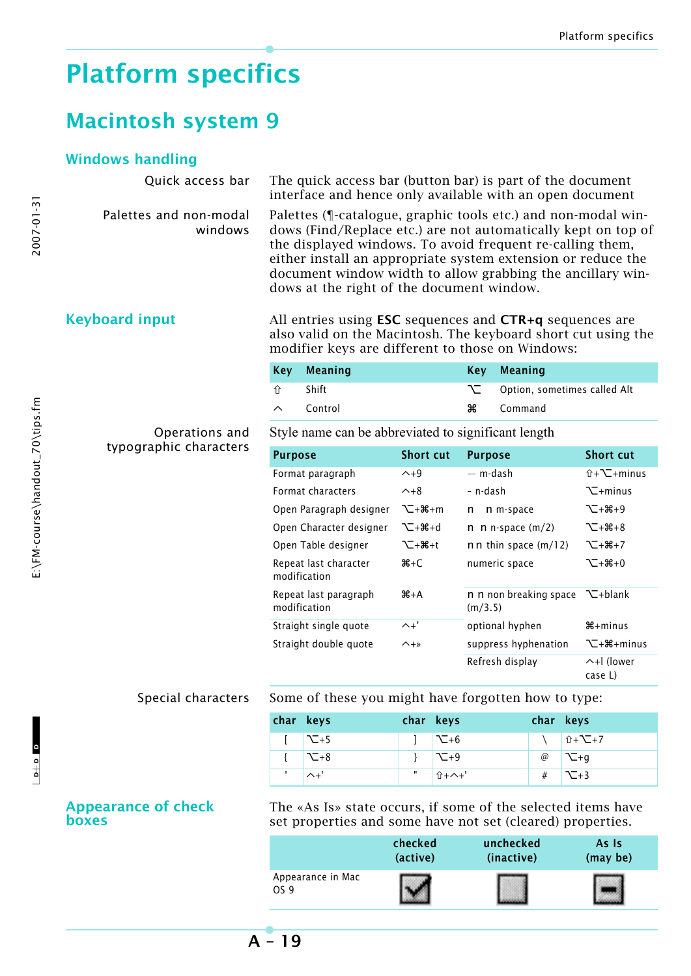# **Platform specifics**

# **Macintosh system 9**

### **Windows handling**

Palettes and non-modal windows

Quick access bar The quick access bar (button bar) is part of the document interface and hence only available with an open document

> Palettes (¶-catalogue, graphic tools etc.) and non-modal windows (Find/Replace etc.) are not automatically kept on top of the displayed windows. To avoid frequent re-calling them, either install an appropriate system extension or reduce the document window width to allow grabbing the ancillary windows at the right of the document window.

**Keyboard input** All entries using **ESC** sequences and **CTR+q** sequences are also valid on the Macintosh. The keyboard short cut using the modifier keys are different to those on Windows:

|                    | Key Meaning |    | Key Meaning                    |
|--------------------|-------------|----|--------------------------------|
| _ 1 î              | Shift       |    | ◯ Option, sometimes called Alt |
| $\curvearrowright$ | Control     | Ж≍ | Command                        |

### Operations and typographic characters

Style name can be abbreviated to significant length

| <b>Purpose</b>                        | <b>Short cut</b> | <b>Purpose</b>                    | <b>Short cut</b>                |
|---------------------------------------|------------------|-----------------------------------|---------------------------------|
| Format paragraph                      | $\sim +9$        | — m-dash                          | $\hat{u} + \sum + \text{minus}$ |
| Format characters                     | $\sim +8$        | – n-dash                          | $\Sigma$ +minus                 |
| Open Paragraph designer               | <b>\</b> _+#+m   | n m-space<br>n                    | ገ⊂+#8+9                         |
| Open Character designer               | ገ_+##+d          | n n-space $(m/2)$<br>n            | ጉ⊡+ን <del>8</del> +8            |
| Open Table designer                   | <b>`</b> ⊂+₩+t   | $nn$ thin space $(m/12)$          | ገ∑+#∔7                          |
| Repeat last character<br>modification | $A + C$          | numeric space                     | ጉ⊡+ን <del>0</del> 8+0           |
| Repeat last paragraph<br>modification | $A+A$            | n n non breaking space<br>(m/3.5) | て+blank                         |
| Straight single quote                 | $\wedge$ +'      | optional hyphen                   | $\mathcal{H}$ +minus            |
| Straight double quote                 | $\wedge +\times$ | suppress hyphenation              | N-#8+minus                      |
|                                       |                  | Refresh display                   | ヘ+l (lower<br>case L)           |

Special characters Some of these you might have forgotten how to type:

| char keys         | char keys |                                                                        | char keys |                     |
|-------------------|-----------|------------------------------------------------------------------------|-----------|---------------------|
| $\sim +5$         |           | $\left  \right $ $\left  \right $ $\left  \right $ $\left  +6 \right $ |           | \ 10+√−+7           |
| $\mathsf{L}_{+8}$ |           | $\sim$ -9                                                              |           | $\oslash$ $\sum +g$ |
| $\wedge$ +'       | ш         | │ û+ヘ+'                                                                |           | # $\sum +3$         |

### **Appearance of check boxes**

The «As Is» state occurs, if some of the selected items have set properties and some have not set (cleared) properties.

|                           | checked  | unchecked  | As Is    |
|---------------------------|----------|------------|----------|
|                           | (active) | (inactive) | (may be) |
| Appearance in Mac<br>OS 9 |          |            |          |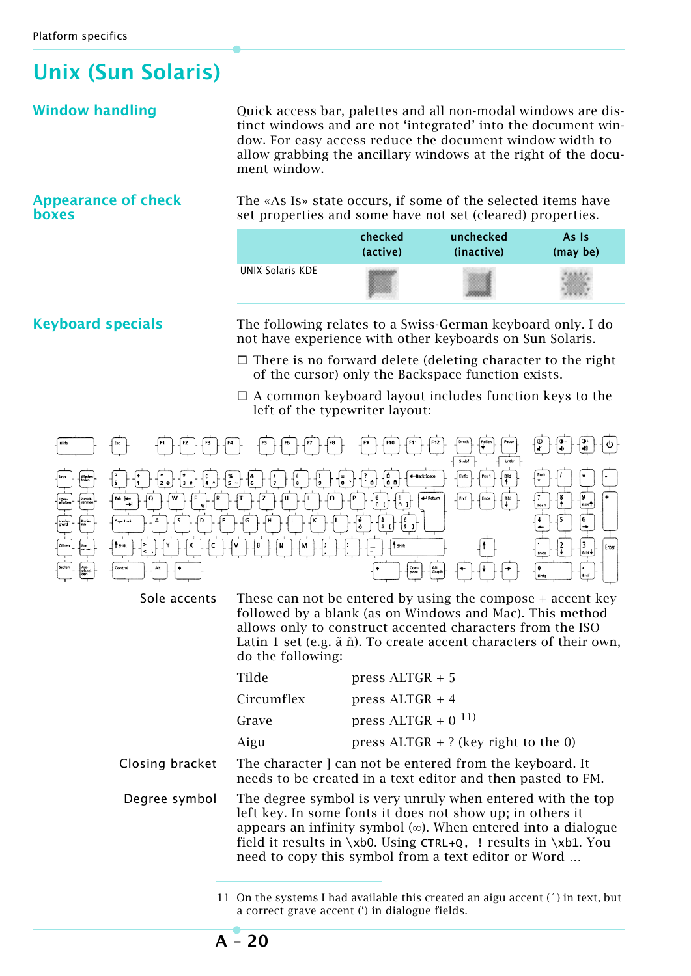# **Unix (Sun Solaris)**

**Window handling Quick access bar, palettes and all non-modal windows are dis**tinct windows and are not 'integrated' into the document window. For easy access reduce the document window width to allow grabbing the ancillary windows at the right of the document window.

### **Appearance of check boxes**

The «As Is» state occurs, if some of the selected items have set properties and some have not set (cleared) properties.

|                  | checked  | unchecked  | As Is    |
|------------------|----------|------------|----------|
|                  | (active) | (inactive) | (may be) |
| UNIX Solaris KDE |          |            |          |

**Keyboard specials** The following relates to a Swiss-German keyboard only. I do not have experience with other keyboards on Sun Solaris.

- $\Box$  There is no forward delete (deleting character to the right of the cursor) only the Backspace function exists.
- $\Box$  A common keyboard layout includes function keys to the left of the typewriter layout:



Sole accents These can not be entered by using the compose + accent key followed by a blank (as on Windows and Mac). This method allows only to construct accented characters from the ISO Latin 1 set (e.g. ã ñ). To create accent characters of their own, do the following:

|                 | Tilde      | press $ALTGR + 5$                                                                                                                                                                                                                                                                                                             |
|-----------------|------------|-------------------------------------------------------------------------------------------------------------------------------------------------------------------------------------------------------------------------------------------------------------------------------------------------------------------------------|
|                 | Circumflex | press $ALTGR + 4$                                                                                                                                                                                                                                                                                                             |
|                 | Grave      | press $ALTGR + 0$ <sup>11)</sup>                                                                                                                                                                                                                                                                                              |
|                 | Aigu       | press $ALTGR + ?$ (key right to the 0)                                                                                                                                                                                                                                                                                        |
| Closing bracket |            | The character   can not be entered from the keyboard. It<br>needs to be created in a text editor and then pasted to FM.                                                                                                                                                                                                       |
| Degree symbol   |            | The degree symbol is very unruly when entered with the top<br>left key. In some fonts it does not show up; in others it<br>appears an infinity symbol $(\infty)$ . When entered into a dialogue<br>field it results in $xbo$ . Using CTRL+Q, ! results in $xbb1$ . You<br>need to copy this symbol from a text editor or Word |

<sup>11</sup> On the systems I had available this created an aigu accent (´) in text, but a correct grave accent (') in dialogue fields.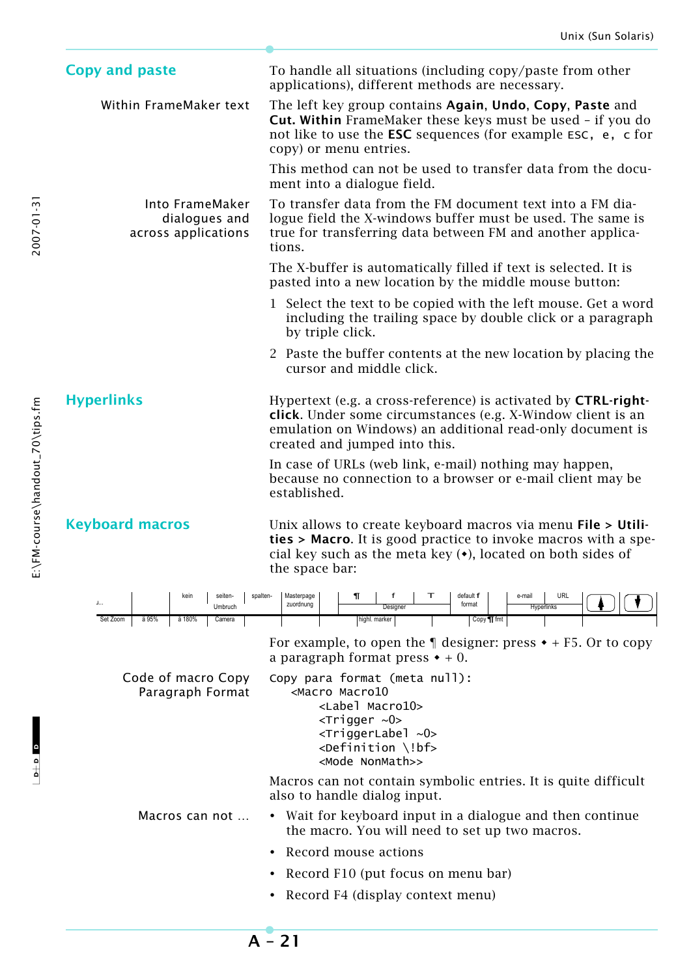| <b>Copy and paste</b>                                   | To handle all situations (including copy/paste from other<br>applications), different methods are necessary.                                                                                                                                                      |  |  |
|---------------------------------------------------------|-------------------------------------------------------------------------------------------------------------------------------------------------------------------------------------------------------------------------------------------------------------------|--|--|
| Within FrameMaker text                                  | The left key group contains Again, Undo, Copy, Paste and<br><b>Cut. Within</b> FrameMaker these keys must be used - if you do<br>not like to use the <b>ESC</b> sequences (for example <b>ESC</b> , <b>e</b> , <b>c</b> for<br>copy) or menu entries.             |  |  |
|                                                         | This method can not be used to transfer data from the docu-<br>ment into a dialogue field.                                                                                                                                                                        |  |  |
| Into FrameMaker<br>dialogues and<br>across applications | To transfer data from the FM document text into a FM dia-<br>logue field the X-windows buffer must be used. The same is<br>true for transferring data between FM and another applica-<br>tions.                                                                   |  |  |
|                                                         | The X-buffer is automatically filled if text is selected. It is<br>pasted into a new location by the middle mouse button:                                                                                                                                         |  |  |
|                                                         | 1 Select the text to be copied with the left mouse. Get a word<br>including the trailing space by double click or a paragraph<br>by triple click.                                                                                                                 |  |  |
|                                                         | 2 Paste the buffer contents at the new location by placing the<br>cursor and middle click.                                                                                                                                                                        |  |  |
| <b>Hyperlinks</b>                                       | Hypertext (e.g. a cross-reference) is activated by <b>CTRL-right-</b><br><b>click.</b> Under some circumstances (e.g. X-Window client is an<br>emulation on Windows) an additional read-only document is<br>created and jumped into this.                         |  |  |
|                                                         | In case of URLs (web link, e-mail) nothing may happen,<br>because no connection to a browser or e-mail client may be<br>established.                                                                                                                              |  |  |
| <b>Keyboard macros</b>                                  | Unix allows to create keyboard macros via menu File > Utili-<br><b>ties &gt; Macro.</b> It is good practice to invoke macros with a spe-<br>cial key such as the meta key $(\bullet)$ , located on both sides of<br>the space bar:                                |  |  |
| seiten-<br>spalten-<br>kein<br>1<br>Umbruch             | Masterpage<br>т<br>default f<br>e-mail<br>URL<br>f<br>٦ı.<br>zuordnung<br>format<br>Designer<br>Hyperlinks                                                                                                                                                        |  |  |
| Set Zoom<br>ä 95%<br>ä 180%<br>Camera                   | highl. marker<br>Copy <b>T</b> fmt                                                                                                                                                                                                                                |  |  |
|                                                         | For example, to open the $\P$ designer: press $\bullet$ + F5. Or to copy<br>a paragraph format press $\bullet + 0$ .                                                                                                                                              |  |  |
| Code of macro Copy<br>Paragraph Format                  | Copy para format (meta null):<br><macro macro10<br=""><label macro10=""><br/><math>\langle</math>Trigger <math>\sim</math>0&gt;<br/><triggerlabel ~0=""><br/><math>\leq</math>Definition \!bf&gt;<br/><mode nonmath="">&gt;</mode></triggerlabel></label></macro> |  |  |
|                                                         | Macros can not contain symbolic entries. It is quite difficult<br>also to handle dialog input.                                                                                                                                                                    |  |  |
| Macros can not                                          | • Wait for keyboard input in a dialogue and then continue<br>the macro. You will need to set up two macros.                                                                                                                                                       |  |  |
|                                                         | Record mouse actions<br>$\bullet$                                                                                                                                                                                                                                 |  |  |
|                                                         | Record F10 (put focus on menu bar)<br>٠                                                                                                                                                                                                                           |  |  |
|                                                         | • Record F4 (display context menu)                                                                                                                                                                                                                                |  |  |

 $\frac{1}{2}$  o  $\frac{1}{2}$ 

 $-1$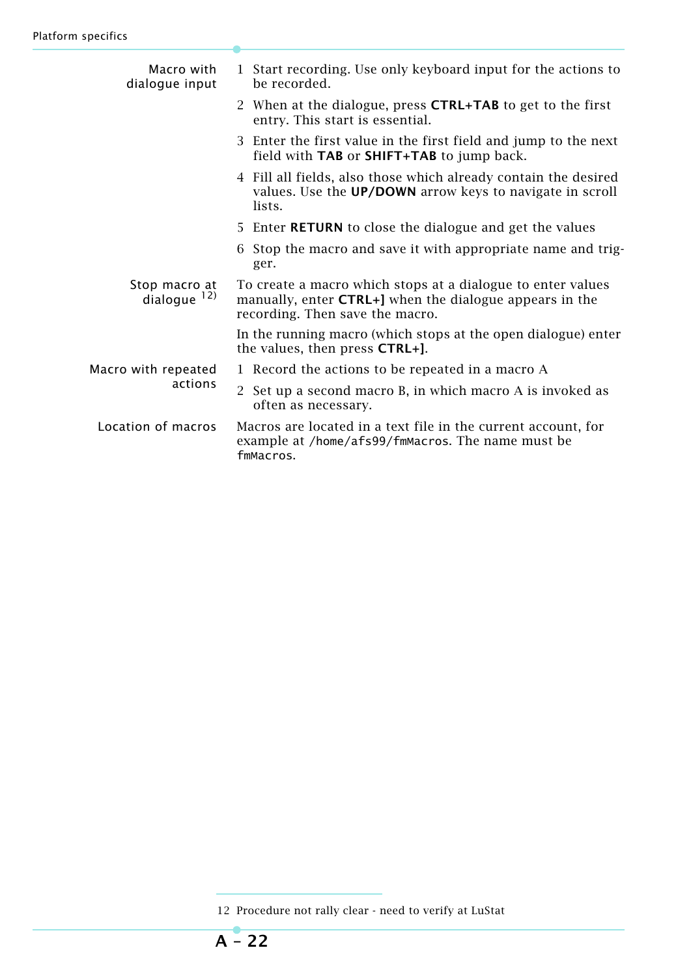| Macro with<br>dialogue input     | 1 Start recording. Use only keyboard input for the actions to<br>be recorded.                                                                                     |
|----------------------------------|-------------------------------------------------------------------------------------------------------------------------------------------------------------------|
|                                  | 2 When at the dialogue, press <b>CTRL+TAB</b> to get to the first<br>entry. This start is essential.                                                              |
|                                  | 3 Enter the first value in the first field and jump to the next<br>field with TAB or SHIFT+TAB to jump back.                                                      |
|                                  | 4 Fill all fields, also those which already contain the desired<br>values. Use the UP/DOWN arrow keys to navigate in scroll<br>lists.                             |
|                                  | 5 Enter <b>RETURN</b> to close the dialogue and get the values                                                                                                    |
|                                  | Stop the macro and save it with appropriate name and trig-<br>6<br>ger.                                                                                           |
| Stop macro at<br>dialogue $12$ ) | To create a macro which stops at a dialogue to enter values<br>manually, enter <b>CTRL+</b> ] when the dialogue appears in the<br>recording. Then save the macro. |
|                                  | In the running macro (which stops at the open dialogue) enter<br>the values, then press CTRL+].                                                                   |
| Macro with repeated              | 1 Record the actions to be repeated in a macro A                                                                                                                  |
| actions                          | Set up a second macro B, in which macro A is invoked as<br>$\mathbf{2}^{\prime}$<br>often as necessary.                                                           |
| Location of macros               | Macros are located in a text file in the current account, for<br>example at /home/afs99/fmMacros. The name must be<br>fmMacros.                                   |

<sup>12</sup> Procedure not rally clear - need to verify at LuStat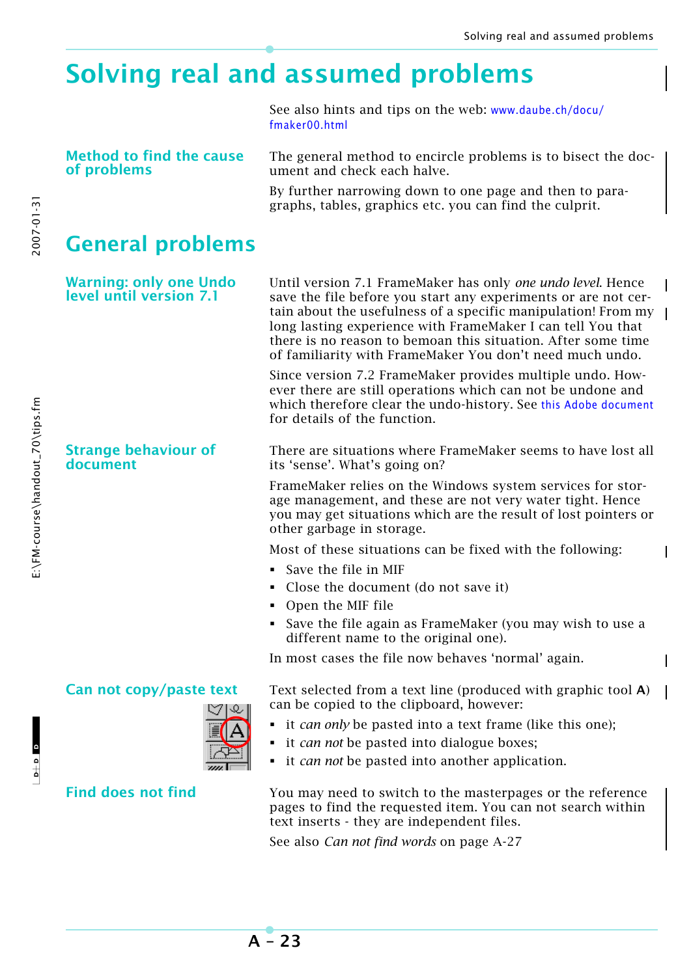# **Solving real and assumed problems**

See also hints and tips on the web: [www.daube.ch/docu/](http://www.daube.ch/docu/fmaker00.html) [fmaker00.html](http://www.daube.ch/docu/fmaker00.html)

**Method to find the cause of problems**

The general method to encircle problems is to bisect the document and check each halve.

By further narrowing down to one page and then to paragraphs, tables, graphics etc. you can find the culprit.

# **General problems**

**Warning: only one Undo level until version 7.1**

**Strange behaviour of document**

Until version 7.1 FrameMaker has only *one undo level*. Hence save the file before you start any experiments or are not certain about the usefulness of a specific manipulation! From my long lasting experience with FrameMaker I can tell You that there is no reason to bemoan this situation. After some time of familiarity with FrameMaker You don't need much undo.

Since version 7.2 FrameMaker provides multiple undo. However there are still operations which can not be undone and which therefore clear the undo-history. See [this Adobe document](http://www.adobe.com/support/techdocs/331774.html) for details of the function.

There are situations where FrameMaker seems to have lost all its 'sense'. What's going on?

FrameMaker relies on the Windows system services for storage management, and these are not very water tight. Hence you may get situations which are the result of lost pointers or other garbage in storage.

Most of these situations can be fixed with the following:

- Save the file in MIF
- Close the document (do not save it)
- Open the MIF file
- Save the file again as FrameMaker (you may wish to use a different name to the original one).

In most cases the file now behaves 'normal' again.

**Can not copy/paste text** Text selected from a text line (produced with graphic tool **A**) can be copied to the clipboard, however:

- it *can only* be pasted into a text frame (like this one);
- it *can not* be pasted into dialogue boxes;
- it *can not* be pasted into another application.

**Find does not find** You may need to switch to the masterpages or the reference pages to find the requested item. You can not search within text inserts - they are independent files.

See also *Can not find words* on page A-27

2007-01-31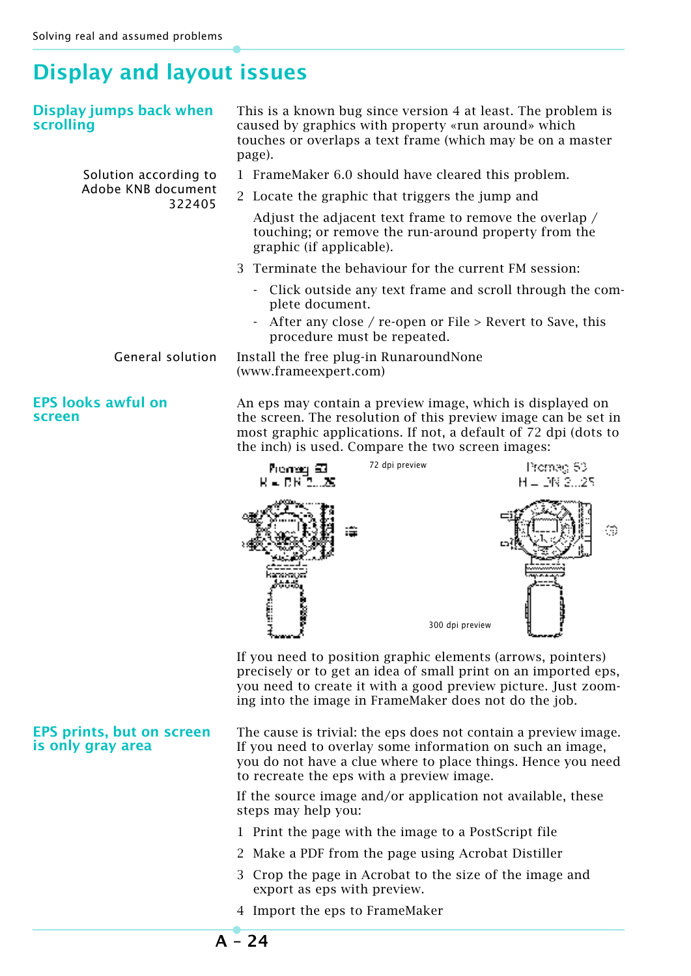# **Display and layout issues**

| Display and layout issues                             |                                                                                                                                                                                                                                                         |                         |  |  |
|-------------------------------------------------------|---------------------------------------------------------------------------------------------------------------------------------------------------------------------------------------------------------------------------------------------------------|-------------------------|--|--|
| Display jumps back when<br>scrolling                  | This is a known bug since version 4 at least. The problem is<br>caused by graphics with property «run around» which<br>touches or overlaps a text frame (which may be on a master<br>page).                                                             |                         |  |  |
| Solution according to                                 | 1 FrameMaker 6.0 should have cleared this problem.                                                                                                                                                                                                      |                         |  |  |
| Adobe KNB document<br>322405                          | 2 Locate the graphic that triggers the jump and                                                                                                                                                                                                         |                         |  |  |
|                                                       | Adjust the adjacent text frame to remove the overlap /<br>touching; or remove the run-around property from the<br>graphic (if applicable).                                                                                                              |                         |  |  |
|                                                       | Terminate the behaviour for the current FM session:<br>3                                                                                                                                                                                                |                         |  |  |
|                                                       | - Click outside any text frame and scroll through the com-<br>plete document.                                                                                                                                                                           |                         |  |  |
|                                                       | After any close / re-open or File > Revert to Save, this<br>procedure must be repeated.                                                                                                                                                                 |                         |  |  |
| <b>General solution</b>                               | Install the free plug-in RunaroundNone<br>(www.frameexpert.com)                                                                                                                                                                                         |                         |  |  |
| <b>EPS looks awful on</b><br>screen                   | An eps may contain a preview image, which is displayed on<br>the screen. The resolution of this preview image can be set in<br>most graphic applications. If not, a default of 72 dpi (dots to<br>the inch) is used. Compare the two screen images:     |                         |  |  |
|                                                       | 72 dpi preview<br>Premag 63<br>R – DRĪSLAS                                                                                                                                                                                                              | Promag 53<br>H = DN 225 |  |  |
|                                                       | 300 dpi preview                                                                                                                                                                                                                                         | ⊕                       |  |  |
|                                                       | If you need to position graphic elements (arrows, pointers)<br>precisely or to get an idea of small print on an imported eps,<br>you need to create it with a good preview picture. Just zoom-<br>ing into the image in FrameMaker does not do the job. |                         |  |  |
| <b>EPS prints, but on screen</b><br>is only gray area | The cause is trivial: the eps does not contain a preview image.<br>If you need to overlay some information on such an image,<br>you do not have a clue where to place things. Hence you need<br>to recreate the eps with a preview image.               |                         |  |  |
|                                                       | If the source image and/or application not available, these                                                                                                                                                                                             |                         |  |  |

- 1 Print the page with the image to a PostScript file
- 2 Make a PDF from the page using Acrobat Distiller
- 3 Crop the page in Acrobat to the size of the image and export as eps with preview.
- 4 Import the eps to FrameMaker

steps may help you: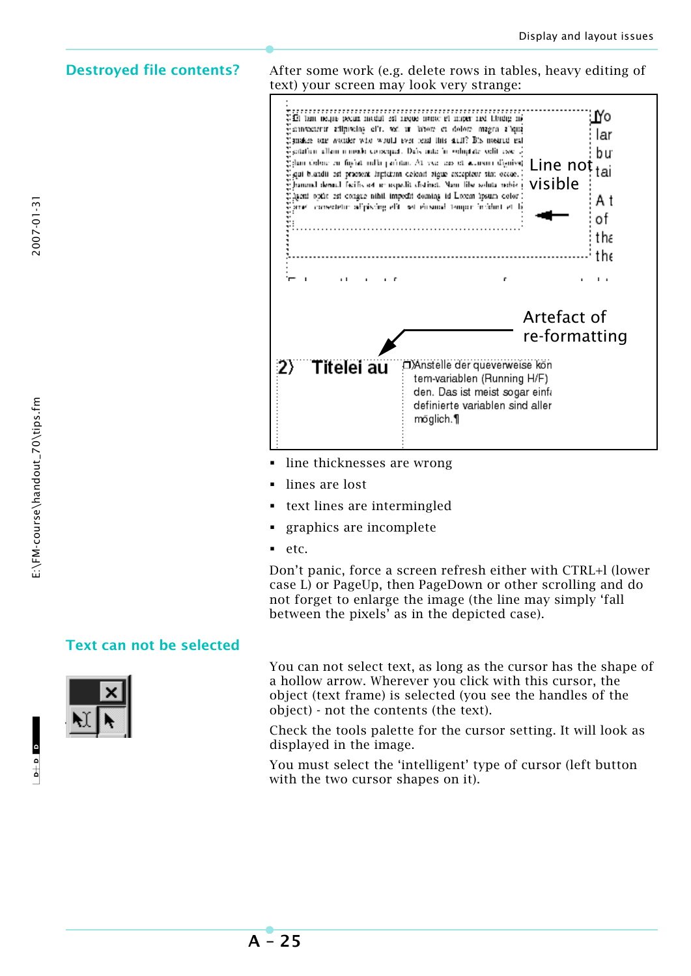2007-01-31

**Destroyed file contents?** After some work (e.g. delete rows in tables, heavy editing of text) your screen may look very strange:



- line thicknesses are wrong
- lines are lost
- text lines are intermingled
- graphics are incomplete
- $e$ tc.

Don't panic, force a screen refresh either with CTRL+l (lower case L) or PageUp, then PageDown or other scrolling and do not forget to enlarge the image (the line may simply 'fall between the pixels' as in the depicted case).

### **Text can not be selected**



You can not select text, as long as the cursor has the shape of a hollow arrow. Wherever you click with this cursor, the object (text frame) is selected (you see the handles of the object) - not the contents (the text).

Check the tools palette for the cursor setting. It will look as displayed in the image.

You must select the 'intelligent' type of cursor (left button with the two cursor shapes on it).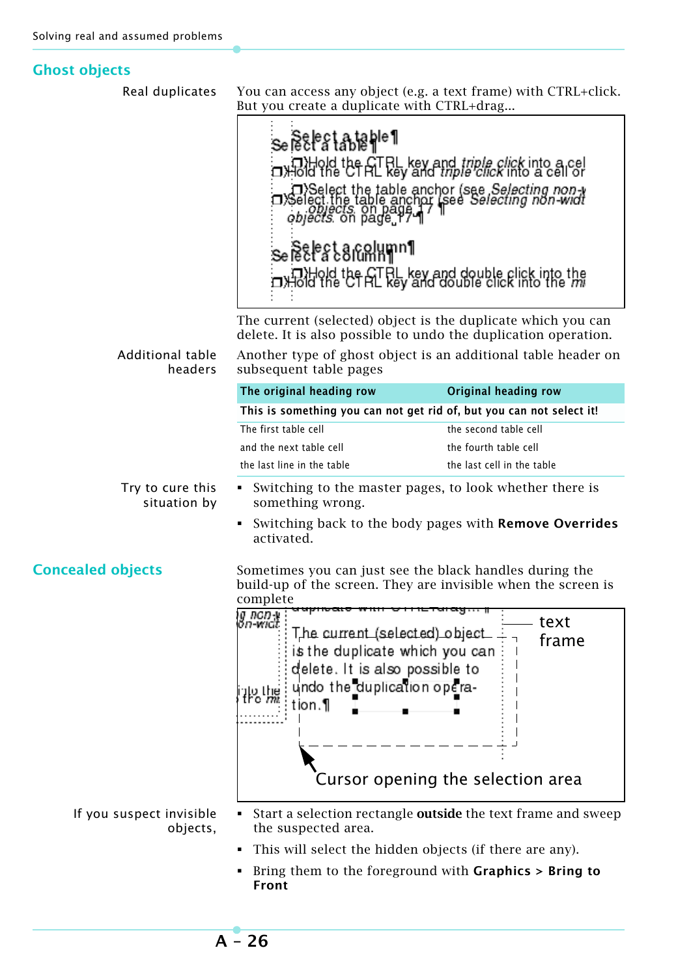# **Ghost objects**

| Real duplicates                      | But you create a duplicate with CTRL+drag                                                                                                                                                        | You can access any object (e.g. a text frame) with CTRL+click.                                                                                                                                                                                                        |
|--------------------------------------|--------------------------------------------------------------------------------------------------------------------------------------------------------------------------------------------------|-----------------------------------------------------------------------------------------------------------------------------------------------------------------------------------------------------------------------------------------------------------------------|
|                                      | se Belest a tahle¶<br>se Belest a Golymn 1                                                                                                                                                       | axid the ET RL key and <i>triple click</i> into a cell<br>axid the Cf AL key and <i>triple click</i> into a cell of<br>J>Select the table anchor (see <i>Selecting non-y</i><br>Select the table anchor (see <i>Selecting non-widt</i><br><i>objects</i> : on page 17 |
|                                      |                                                                                                                                                                                                  | The current (selected) object is the duplicate which you can<br>delete. It is also possible to undo the duplication operation.                                                                                                                                        |
| Additional table<br>headers          | subsequent table pages                                                                                                                                                                           | Another type of ghost object is an additional table header on                                                                                                                                                                                                         |
|                                      | The original heading row                                                                                                                                                                         | Original heading row                                                                                                                                                                                                                                                  |
|                                      | This is something you can not get rid of, but you can not select it!                                                                                                                             |                                                                                                                                                                                                                                                                       |
|                                      | The first table cell                                                                                                                                                                             | the second table cell                                                                                                                                                                                                                                                 |
|                                      | and the next table cell                                                                                                                                                                          | the fourth table cell                                                                                                                                                                                                                                                 |
|                                      | the last line in the table                                                                                                                                                                       | the last cell in the table                                                                                                                                                                                                                                            |
| Try to cure this<br>situation by     | something wrong.                                                                                                                                                                                 | Switching to the master pages, to look whether there is                                                                                                                                                                                                               |
|                                      | activated.                                                                                                                                                                                       | Switching back to the body pages with Remove Overrides                                                                                                                                                                                                                |
| <b>Concealed objects</b>             | Sometimes you can just see the black handles during the<br>complete                                                                                                                              | build-up of the screen. They are invisible when the screen is                                                                                                                                                                                                         |
|                                      | ig non-y<br>on-widt<br>The current (selected) object<br>is the duplicate which you can<br>delete. It is also possible to<br>undo the duplication opera-<br>iko Itina<br>Iro <i>m</i> i<br>tion.¶ | text<br>frame<br>Cursor opening the selection area                                                                                                                                                                                                                    |
| If you suspect invisible<br>objects, | the suspected area.<br>This will select the hidden objects (if there are any).<br>Front                                                                                                          | Start a selection rectangle <b>outside</b> the text frame and sweep<br>Bring them to the foreground with <b>Graphics</b> $>$ Bring to                                                                                                                                 |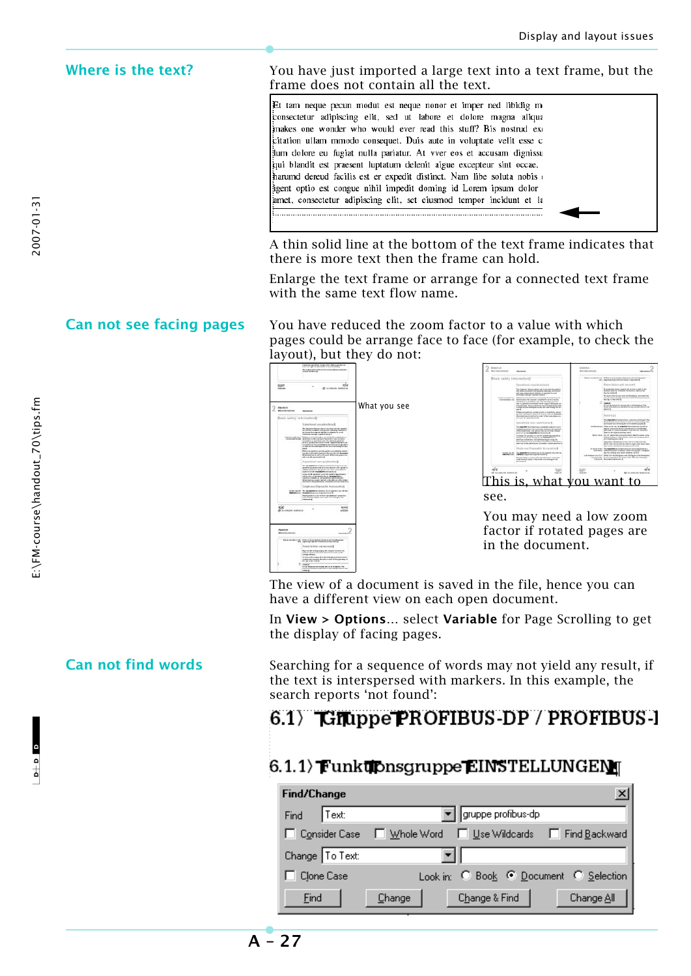**Where is the text?** You have just imported a large text into a text frame, but the frame does not contain all the text.

> Et tam neque pecun modut est neque nonor et imper ned libidig m .<br>consectetur adipiscing elit, sed ut labore et dolore magna aliqua makes one wonder who would ever read this stuff? Bis nostrud exc citation ullam mmodo consequet. Duis aute in voluptate velit esse c ium dolore eu fugiat nulla pariatur. At vver eos et accusam dignissu .<br>qui blandit est praesent luptatum delenit aigue excepteur sint occae. harumd dereud facilis est er expedit distinct. Nam libe soluta nobis sent optio est congue nihil impedit doming id Lorem ipsum dolor .<br>amet, consectetur adipiscing elit, set eiusmod tempor incidunt et la

A thin solid line at the bottom of the text frame indicates that there is more text then the frame can hold.

Enlarge the text frame or arrange for a connected text frame with the same text flow name.

**Can not see facing pages** You have reduced the zoom factor to a value with which pages could be arrange face to face (for example, to check the layout), but they do not:





You may need a low zoom factor if rotated pages are in the document.

The view of a document is saved in the file, hence you can have a different view on each open document.

In **View > Options…** select **Variable** for Page Scrolling to get the display of facing pages.

**Can not find words** Searching for a sequence of words may not yield any result, if the text is interspersed with markers. In this example, the search reports 'not found':

# $6.1$   $\sqrt{67}$  Compose PROFIBUS-DP / PROFIBUS-

# $6.1.1$ ) Funkubnsaruppe EINSTELLUNGENT

| Find/Change       |        |        |                      | $\mathbf{x}$                                 |
|-------------------|--------|--------|----------------------|----------------------------------------------|
| Find              | ∥Text: |        | ▌▌gruppe profibus-dp |                                              |
| □ Consider Case   |        |        |                      | □ Whole Word □ Use Wildcards □ Find Backward |
| Change   To Text: |        |        |                      |                                              |
| Clone Case        |        |        |                      | Look in: C Book C Document C Selection       |
| Eind              |        | Change | Change & Find        | Change All                                   |

E:\FM-course\handout\_70\tips.fm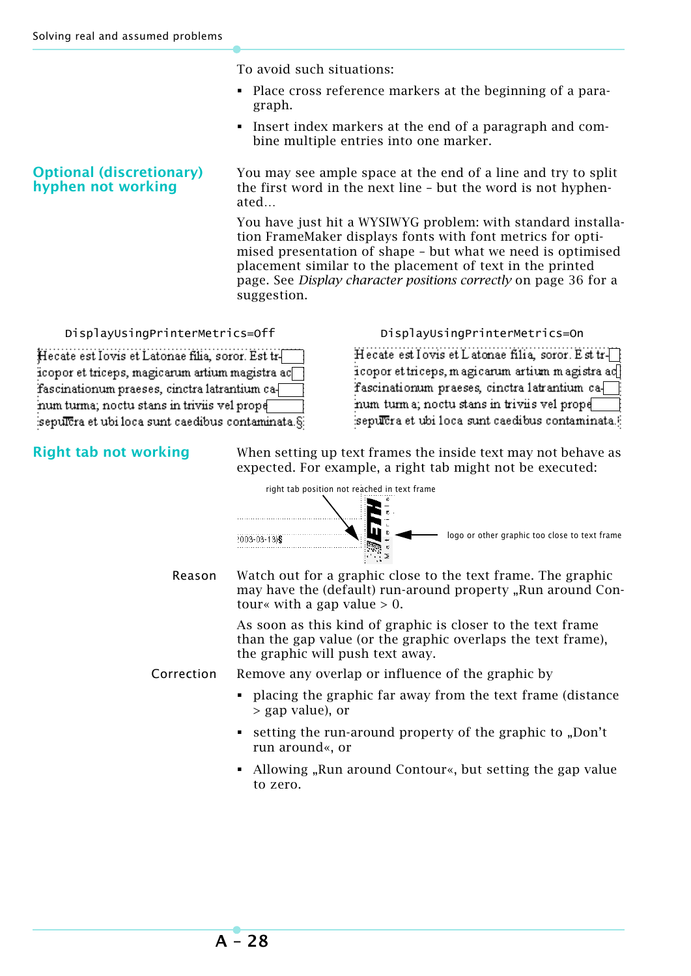To avoid such situations:

- Place cross reference markers at the beginning of a paragraph.
- Insert index markers at the end of a paragraph and combine multiple entries into one marker.

**Optional (discretionary) hyphen not working** You may see ample space at the end of a line and try to split the first word in the next line – but the word is not hyphenated…

> You have just hit a WYSIWYG problem: with standard installation FrameMaker displays fonts with font metrics for optimised presentation of shape – but what we need is optimised placement similar to the placement of text in the printed page. See *Display character positions correctly* on page 36 for a suggestion.

> > Hecate est Iovis et Latonae filia, soror, Est tricopor et triceps, magicarum artium magistra act

fascinationum praeses, cinctra latrantium ca-

seputera et ubi loca sunt caedibus contaminata.

num turma; noctu stans in triviis vel prope

DisplayUsingPrinterMetrics=Off DisplayUsingPrinterMetrics=On

Hecate est Iovis et Latonae filia, soror. Est trl icopor et triceps, magicarum artium magistra ac fascinationum praeses, cinctra latrantium canum turma; noctu stans in triviis vel prope sepulcra et ubi loca sunt caedibus contaminata.§

**Right tab not working** When setting up text frames the inside text may not behave as expected. For example, a right tab might not be executed:

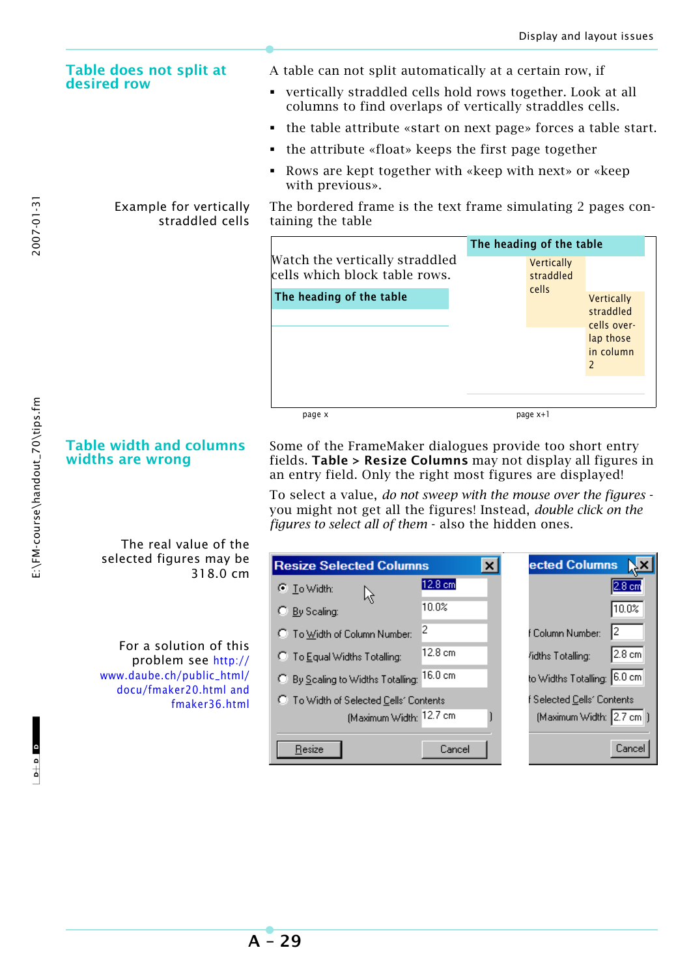### **Table does not split at desired row**

### Example for vertically straddled cells

**Table width and columns** 

The real value of the selected figures may be

For a solution of this problem see [http://](http://www.daube.ch/public_html/docu/fmaker20.html) [www.daube.ch/public\\_html/](http://www.daube.ch/public_html/docu/fmaker20.html) docu/fmaker20.html and

318.0 cm

fmaker36.html

**widths are wrong**

with previous». The bordered frame is the text frame simulating 2 pages containing the table

A table can not split automatically at a certain row, if

• the attribute «float» keeps the first page together

 vertically straddled cells hold rows together. Look at all columns to find overlaps of vertically straddles cells.

Rows are kept together with «keep with next» or «keep

the table attribute «start on next page» forces a table start.

|                                                                 | The heading of the table |                                  |                                                                                              |  |
|-----------------------------------------------------------------|--------------------------|----------------------------------|----------------------------------------------------------------------------------------------|--|
| Watch the vertically straddled<br>cells which block table rows. |                          | Vertically<br>straddled<br>cells |                                                                                              |  |
| The heading of the table                                        |                          |                                  | Vertically<br>straddled<br>cells over-<br>lap those<br>in column<br>$\overline{\phantom{0}}$ |  |
| page x                                                          |                          | page x+1                         |                                                                                              |  |

### Some of the FrameMaker dialogues provide too short entry fields. **Table > Resize Columns** may not display all figures in an entry field. Only the right most figures are displayed!

To select a value, *do not sweep with the mouse over the figures* you might not get all the figures! Instead, *double click on the figures to select all of them* - also the hidden ones.

| <b>Resize Selected Columns</b>         | $\boldsymbol{\times}$ |                   | ected Columns               |                  |
|----------------------------------------|-----------------------|-------------------|-----------------------------|------------------|
| C To Width:                            | 12.8 cm               |                   |                             | $2.8 \text{ cm}$ |
| C By Scaling:                          | 10.0%                 |                   |                             | 10.0%            |
| C To Width of Column Number:           | 2                     |                   | I2<br>f Column Number:      |                  |
| C To Equal Widths Totalling:           | 12.8 cm               | /idths Totalling: |                             | 2.8 cm           |
| C By Scaling to Widths Totalling:      | 116.0 cm              |                   | to Widths Totalling: 6.0 cm |                  |
| C To Width of Selected Cells' Contents |                       |                   | Selected Cells' Contents    |                  |
| (Maximum Width: 12.7 cm                |                       |                   | (Maximum Width: 2.7 cm )    |                  |
| Resize                                 | Cancel                |                   |                             | Cance            |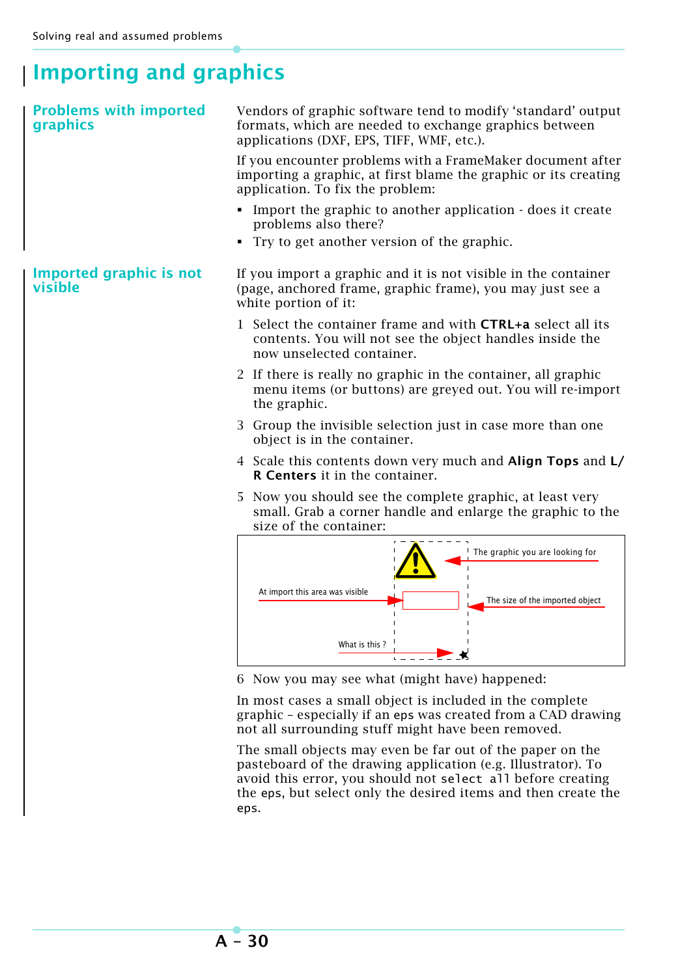# **Importing and graphics**

| <b>Problems with imported</b><br>graphics | Vendors of graphic software tend to modify 'standard' output<br>formats, which are needed to exchange graphics between<br>applications (DXF, EPS, TIFF, WMF, etc.).             |  |  |
|-------------------------------------------|---------------------------------------------------------------------------------------------------------------------------------------------------------------------------------|--|--|
|                                           | If you encounter problems with a FrameMaker document after<br>importing a graphic, at first blame the graphic or its creating<br>application. To fix the problem:               |  |  |
|                                           | • Import the graphic to another application - does it create<br>problems also there?                                                                                            |  |  |
|                                           | Try to get another version of the graphic.<br>٠                                                                                                                                 |  |  |
| Imported graphic is not<br>visible        | If you import a graphic and it is not visible in the container<br>(page, anchored frame, graphic frame), you may just see a<br>white portion of it:                             |  |  |
|                                           | 1 Select the container frame and with <b>CTRL+a</b> select all its<br>contents. You will not see the object handles inside the<br>now unselected container.                     |  |  |
|                                           | 2 If there is really no graphic in the container, all graphic<br>menu items (or buttons) are greyed out. You will re-import<br>the graphic.                                     |  |  |
|                                           | 3 Group the invisible selection just in case more than one<br>object is in the container.                                                                                       |  |  |
|                                           | 4 Scale this contents down very much and <b>Align Tops</b> and <b>L</b> /<br>R Centers it in the container.                                                                     |  |  |
|                                           | Now you should see the complete graphic, at least very<br>5.<br>small. Grab a corner handle and enlarge the graphic to the<br>size of the container:                            |  |  |
|                                           | The graphic you are looking for                                                                                                                                                 |  |  |
|                                           | At import this area was visible<br>The size of the imported object                                                                                                              |  |  |
|                                           | What is this?                                                                                                                                                                   |  |  |
|                                           | 6 Now you may see what (might have) happened:                                                                                                                                   |  |  |
|                                           | In most cases a small object is included in the complete<br>graphic - especially if an eps was created from a CAD drawing<br>not all surrounding stuff might have been removed. |  |  |
|                                           | The small objects may even be far out of the paper on the                                                                                                                       |  |  |

The small objects may even be far out of the paper on the pasteboard of the drawing application (e.g. Illustrator). To avoid this error, you should not select all before creating the eps, but select only the desired items and then create the eps.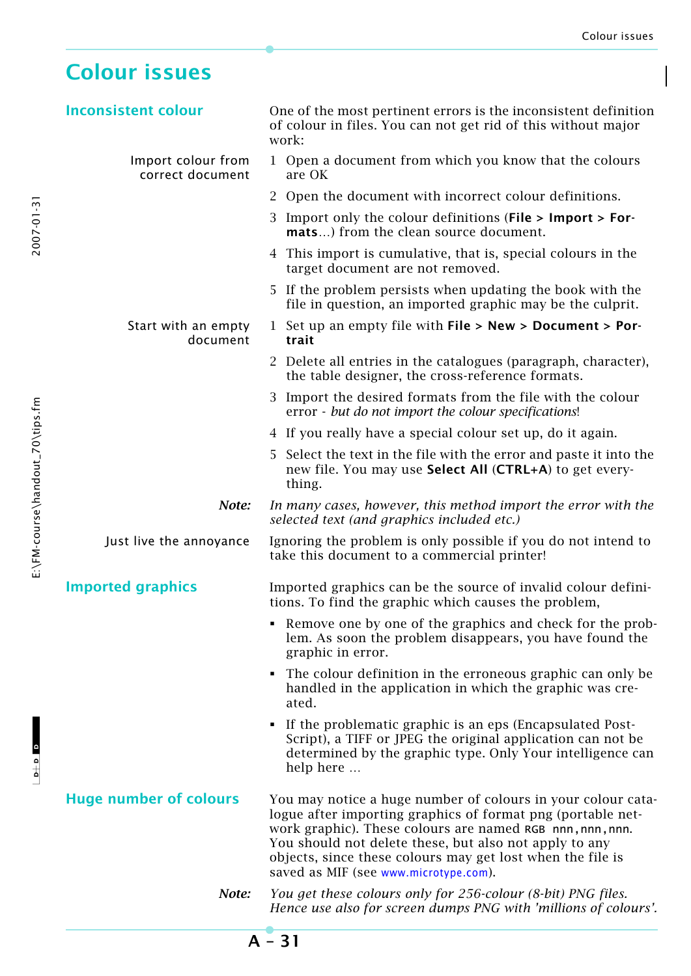# **Colour issues**

 $\frac{1}{2}$  o  $\frac{1}{2}$ 

 $-1$ 

L  $_{\rm B+N}$  =  $\,$  D  $_{\rm C+N}$  . Course\handout\_70\tips.fm  $\,$  E:\FM -course\handout\_70\tips.fm  $\,$ 

E:\FM-course\handout\_70\tips.fm

2007-01-31

| <b>Inconsistent colour</b>             | One of the most pertinent errors is the inconsistent definition                                                                                                                                                                                                                                                                                           |
|----------------------------------------|-----------------------------------------------------------------------------------------------------------------------------------------------------------------------------------------------------------------------------------------------------------------------------------------------------------------------------------------------------------|
|                                        | of colour in files. You can not get rid of this without major<br>work:                                                                                                                                                                                                                                                                                    |
| Import colour from<br>correct document | 1 Open a document from which you know that the colours<br>are OK                                                                                                                                                                                                                                                                                          |
|                                        | 2 Open the document with incorrect colour definitions.                                                                                                                                                                                                                                                                                                    |
|                                        | 3 Import only the colour definitions (File > Import > For-<br>mats) from the clean source document.                                                                                                                                                                                                                                                       |
|                                        | 4 This import is cumulative, that is, special colours in the<br>target document are not removed.                                                                                                                                                                                                                                                          |
|                                        | 5 If the problem persists when updating the book with the<br>file in question, an imported graphic may be the culprit.                                                                                                                                                                                                                                    |
| Start with an empty<br>document        | 1 Set up an empty file with $File > New > Document > Por-$<br>trait                                                                                                                                                                                                                                                                                       |
|                                        | 2 Delete all entries in the catalogues (paragraph, character),<br>the table designer, the cross-reference formats.                                                                                                                                                                                                                                        |
|                                        | 3 Import the desired formats from the file with the colour<br>error - but do not import the colour specifications!                                                                                                                                                                                                                                        |
|                                        | 4 If you really have a special colour set up, do it again.                                                                                                                                                                                                                                                                                                |
|                                        | 5 Select the text in the file with the error and paste it into the<br>new file. You may use Select All (CTRL+A) to get every-<br>thing.                                                                                                                                                                                                                   |
| Note:                                  | In many cases, however, this method import the error with the<br>selected text (and graphics included etc.)                                                                                                                                                                                                                                               |
| Just live the annoyance                | Ignoring the problem is only possible if you do not intend to<br>take this document to a commercial printer!                                                                                                                                                                                                                                              |
| <b>Imported graphics</b>               | Imported graphics can be the source of invalid colour defini-<br>tions. To find the graphic which causes the problem,                                                                                                                                                                                                                                     |
|                                        | Remove one by one of the graphics and check for the prob-<br>lem. As soon the problem disappears, you have found the<br>graphic in error.                                                                                                                                                                                                                 |
|                                        | • The colour definition in the erroneous graphic can only be<br>handled in the application in which the graphic was cre-<br>ated.                                                                                                                                                                                                                         |
|                                        | • If the problematic graphic is an eps (Encapsulated Post-<br>Script), a TIFF or JPEG the original application can not be<br>determined by the graphic type. Only Your intelligence can<br>help here                                                                                                                                                      |
| <b>Huge number of colours</b>          | You may notice a huge number of colours in your colour cata-<br>logue after importing graphics of format png (portable net-<br>work graphic). These colours are named RGB nnn, nnn, nnn.<br>You should not delete these, but also not apply to any<br>objects, since these colours may get lost when the file is<br>saved as MIF (see www.microtype.com). |
| Note:                                  | You get these colours only for 256-colour (8-bit) PNG files.<br>Hence use also for screen dumps PNG with 'millions of colours'.                                                                                                                                                                                                                           |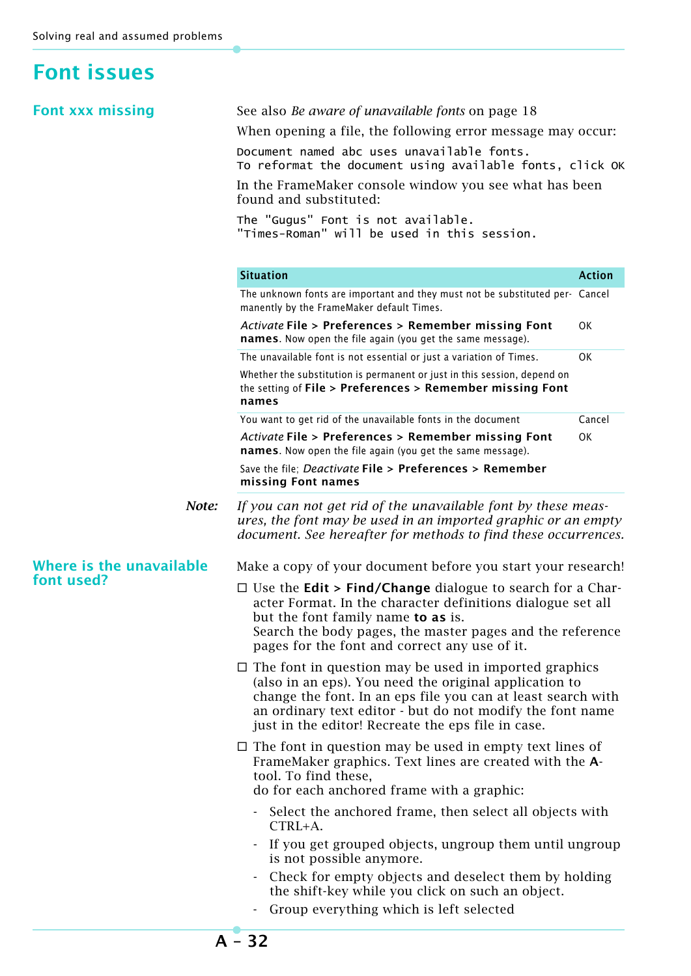# **Font issues**

| <b>Font xxx missing</b>  | See also Be aware of unavailable fonts on page 18                                                                                                                                                                                                                                                         |               |  |  |
|--------------------------|-----------------------------------------------------------------------------------------------------------------------------------------------------------------------------------------------------------------------------------------------------------------------------------------------------------|---------------|--|--|
|                          | When opening a file, the following error message may occur.                                                                                                                                                                                                                                               |               |  |  |
|                          | Document named abc uses unavailable fonts.<br>To reformat the document using available fonts, click OK                                                                                                                                                                                                    |               |  |  |
|                          | In the FrameMaker console window you see what has been<br>found and substituted:                                                                                                                                                                                                                          |               |  |  |
|                          | The "Gugus" Font is not available.<br>"Times-Roman" will be used in this session.                                                                                                                                                                                                                         |               |  |  |
|                          | <b>Situation</b>                                                                                                                                                                                                                                                                                          | <b>Action</b> |  |  |
|                          | The unknown fonts are important and they must not be substituted per- Cancel<br>manently by the FrameMaker default Times.                                                                                                                                                                                 |               |  |  |
|                          | Activate File > Preferences > Remember missing Font<br>names. Now open the file again (you get the same message).                                                                                                                                                                                         | OK            |  |  |
|                          | The unavailable font is not essential or just a variation of Times.                                                                                                                                                                                                                                       | OK            |  |  |
|                          | Whether the substitution is permanent or just in this session, depend on<br>the setting of File > Preferences > Remember missing Font<br>names                                                                                                                                                            |               |  |  |
|                          | You want to get rid of the unavailable fonts in the document                                                                                                                                                                                                                                              | Cancel        |  |  |
|                          | Activate File > Preferences > Remember missing Font<br>names. Now open the file again (you get the same message).                                                                                                                                                                                         |               |  |  |
|                          | Save the file; Deactivate File > Preferences > Remember<br>missing Font names                                                                                                                                                                                                                             |               |  |  |
| Note:                    | If you can not get rid of the unavailable font by these meas-<br>ures, the font may be used in an imported graphic or an empty<br>document. See hereafter for methods to find these occurrences.                                                                                                          |               |  |  |
| Where is the unavailable | Make a copy of your document before you start your research!                                                                                                                                                                                                                                              |               |  |  |
| font used?               | $\Box$ Use the <b>Edit &gt; Find/Change</b> dialogue to search for a Char-<br>acter Format. In the character definitions dialogue set all<br>but the font family name to as is.<br>Search the body pages, the master pages and the reference<br>pages for the font and correct any use of it.             |               |  |  |
|                          | $\Box$ The font in question may be used in imported graphics<br>(also in an eps). You need the original application to<br>change the font. In an eps file you can at least search with<br>an ordinary text editor - but do not modify the font name<br>just in the editor! Recreate the eps file in case. |               |  |  |
|                          | $\Box$ The font in question may be used in empty text lines of<br>FrameMaker graphics. Text lines are created with the A-<br>tool. To find these,<br>do for each anchored frame with a graphic:                                                                                                           |               |  |  |
|                          | Select the anchored frame, then select all objects with<br>CTRL+A.                                                                                                                                                                                                                                        |               |  |  |
|                          | If you get grouped objects, ungroup them until ungroup<br>is not possible anymore.                                                                                                                                                                                                                        |               |  |  |
|                          | Check for empty objects and deselect them by holding<br>the shift-key while you click on such an object.                                                                                                                                                                                                  |               |  |  |
|                          | Group everything which is left selected                                                                                                                                                                                                                                                                   |               |  |  |
|                          |                                                                                                                                                                                                                                                                                                           |               |  |  |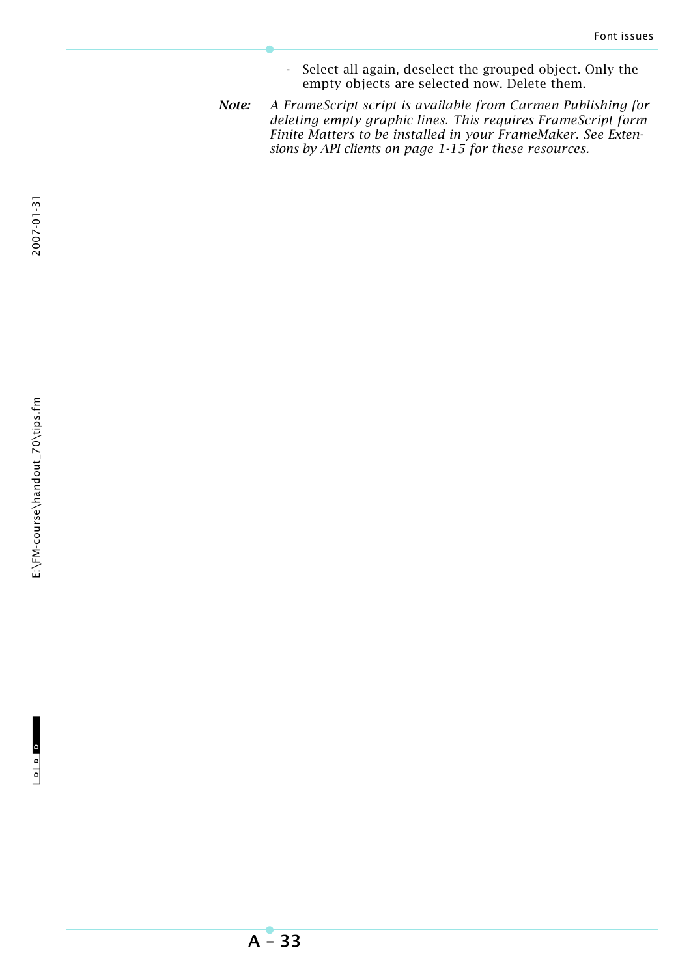- Select all again, deselect the grouped object. Only the empty objects are selected now. Delete them.
- *Note: A FrameScript script is available from Carmen Publishing for deleting empty graphic lines. This requires FrameScript form Finite Matters to be installed in your FrameMaker. See Extensions by API clients on page 1-15 for these resources.*

**A – 33**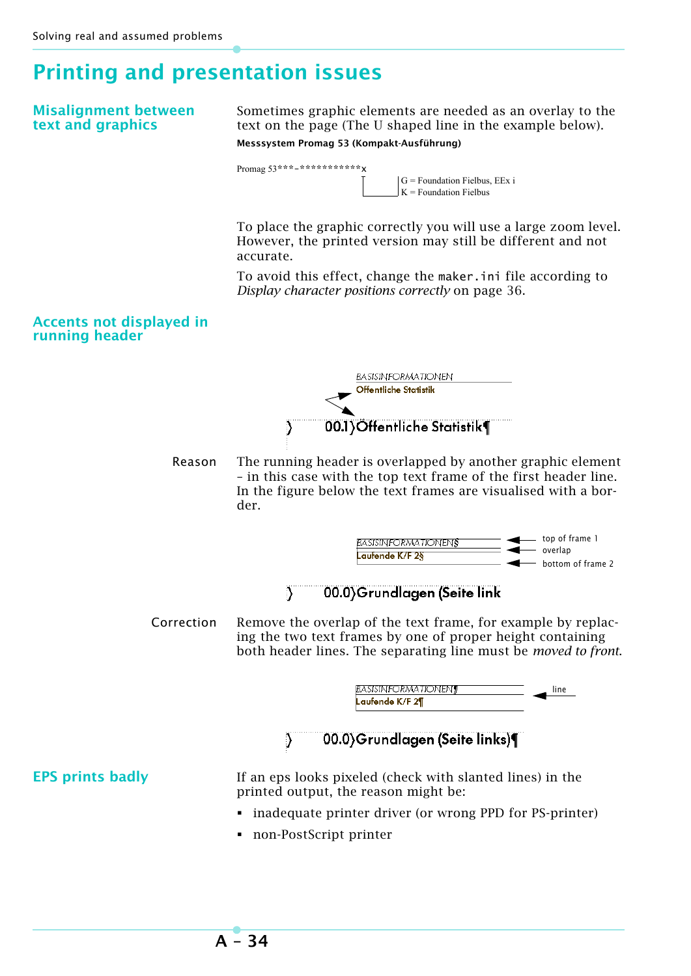# **Printing and presentation issues**

### **Misalignment between text and graphics**

Sometimes graphic elements are needed as an overlay to the text on the page (The U shaped line in the example below). **Messsystem Promag 53 (Kompakt-Ausführung)**



 $G =$  Foundation Fielbus, EEx i  $K =$  Foundation Fielbus

To place the graphic correctly you will use a large zoom level. However, the printed version may still be different and not accurate.

To avoid this effect, change the maker.ini file according to *Display character positions correctly* on page 36.

### **Accents not displayed in running header**

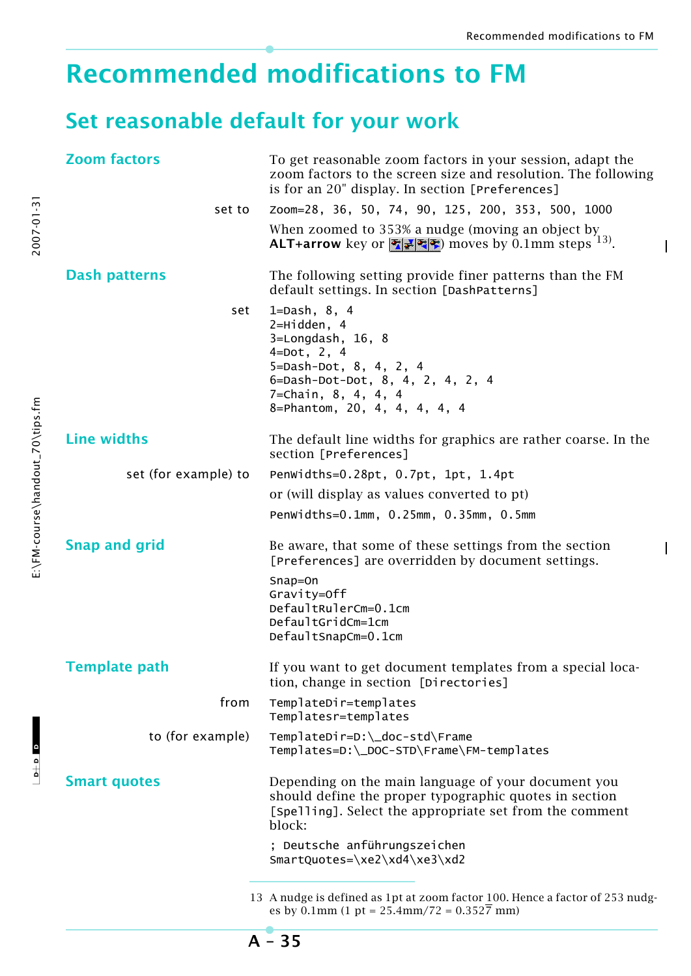$\mathbf{I}$ 

# **Recommended modifications to FM**

# **Set reasonable default for your work**

| <b>Zoom factors</b>  | To get reasonable zoom factors in your session, adapt the<br>zoom factors to the screen size and resolution. The following<br>is for an 20" display. In section [Preferences]                         |
|----------------------|-------------------------------------------------------------------------------------------------------------------------------------------------------------------------------------------------------|
| set to               | Zoom=28, 36, 50, 74, 90, 125, 200, 353, 500, 1000                                                                                                                                                     |
|                      | When zoomed to 353% a nudge (moving an object by<br>ALT+arrow key or $\mathbb{Z}[\mathbb{Z}]\$ moves by 0.1mm steps <sup>13)</sup> .                                                                  |
| <b>Dash patterns</b> | The following setting provide finer patterns than the FM<br>default settings. In section [DashPatterns]                                                                                               |
| set                  | 1=Dash, $8, 4$<br>$2 = H \cdot d$ den, 4<br>3=Longdash, 16, 8<br>$4 = Dot, 2, 4$<br>5=Dash-Dot, 8, 4, 2, 4<br>6=Dash-Dot-Dot, 8, 4, 2, 4, 2, 4<br>7=Chain, 8, 4, 4, 4<br>8=Phantom, 20, 4, 4, 4, 4, 4 |
| <b>Line widths</b>   | The default line widths for graphics are rather coarse. In the<br>section [Preferences]                                                                                                               |
| set (for example) to | Penwidths=0.28pt, 0.7pt, 1pt, 1.4pt                                                                                                                                                                   |
|                      | or (will display as values converted to pt)                                                                                                                                                           |
|                      | Penwidths=0.1mm, 0.25mm, 0.35mm, 0.5mm                                                                                                                                                                |
| <b>Snap and grid</b> | Be aware, that some of these settings from the section<br>[Preferences] are overridden by document settings.                                                                                          |
|                      | Snap=On<br>Gravity=Off<br>DefaultRulerCm=0.1cm<br>DefaultGridCm=1cm<br>DefaultSnapCm=0.1cm                                                                                                            |
| <b>Template path</b> | If you want to get document templates from a special loca-<br>tion, change in section [Directories]                                                                                                   |
| from                 | TemplateDir=templates<br>Templatesr=templates                                                                                                                                                         |
| to (for example)     | TemplateDir=D:\_doc-std\Frame<br>Templates=D:\_DOC-STD\Frame\FM-templates                                                                                                                             |
| <b>Smart quotes</b>  | Depending on the main language of your document you<br>should define the proper typographic quotes in section<br>[Spelling]. Select the appropriate set from the comment<br>block:                    |
|                      | ; Deutsche anführungszeichen<br>SmartQuotes=\xe2\xd4\xe3\xd2                                                                                                                                          |
|                      | 13 A nudge is defined as 1pt at zoom factor 100. Hence a factor of 253 nudg-<br>es by 0.1mm (1 pt = $25.4$ mm/72 = $0.352\overline{7}$ mm)                                                            |

**A – 35**

 $\frac{1}{2}$  o  $\frac{1}{2}$ 

 $\begin{array}{c}\n\bullet + \circ \\
\bullet\n\end{array}$